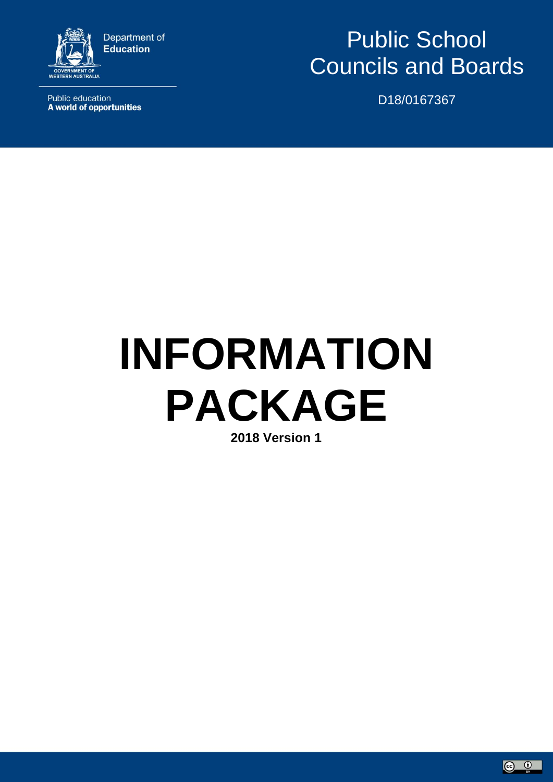

**Public education** A world of opportunities

# Public School Councils and Boards

D18/0167367

# **INFORMATION PACKAGE 2018 Version 1**

 $\circ$   $\circ$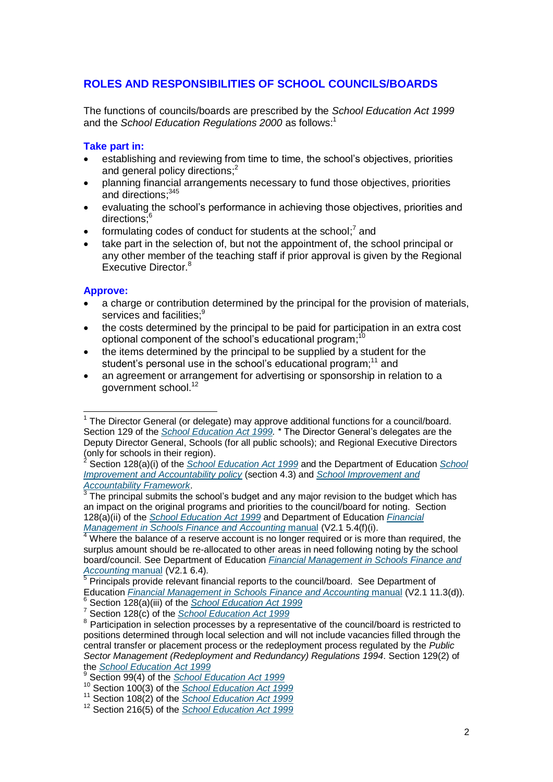# **ROLES AND RESPONSIBILITIES OF SCHOOL COUNCILS/BOARDS**

The functions of councils/boards are prescribed by the *School Education Act 1999* and the *School Education Regulations 2000* as follows: 1

#### **Take part in:**

- establishing and reviewing from time to time, the school's objectives, priorities and general policy directions;<sup>2</sup>
- planning financial arrangements necessary to fund those objectives, priorities and directions;<sup>345</sup>
- evaluating the school's performance in achieving those objectives, priorities and directions:<sup>6</sup>
- formulating codes of conduct for students at the school; $^7$  and
- take part in the selection of, but not the appointment of, the school principal or any other member of the teaching staff if prior approval is given by the Regional Executive Director.<sup>8</sup>

#### **Approve:**

- a charge or contribution determined by the principal for the provision of materials, services and facilities:<sup>9</sup>
- the costs determined by the principal to be paid for participation in an extra cost optional component of the school's educational program;<sup>10</sup>
- the items determined by the principal to be supplied by a student for the student's personal use in the school's educational program;<sup>11</sup> and
- an agreement or arrangement for advertising or sponsorship in relation to a government school.<sup>12</sup>

 $\overline{1}$ <sup>1</sup> The Director General (or delegate) may approve additional functions for a council/board. Section 129 of the *[School Education Act 1999.](https://www.slp.wa.gov.au/legislation/statutes.nsf/law_a1960.html)* \* The Director General's delegates are the Deputy Director General, Schools (for all public schools); and Regional Executive Directors (only for schools in their region).

<sup>2</sup> Section 128(a)(i) of the *[School Education Act 1999](https://www.slp.wa.gov.au/legislation/statutes.nsf/law_a1960.html)* and the Department of Education *[School](http://www.det.wa.edu.au/policies/detcms/policy-planning-and-accountability/policies-framework/policies/school-improvement-and-accountability.en?cat-id=3457062)  [Improvement and Accountability policy](http://www.det.wa.edu.au/policies/detcms/policy-planning-and-accountability/policies-framework/policies/school-improvement-and-accountability.en?cat-id=3457062)* (section 4.3) and *[School Improvement and](http://www.det.wa.edu.au/policies/detcms/policy-planning-and-accountability/policies-framework/guidelines/school-improvement-and-accountability-framework.en?cat-id=3457062)* 

*[Accountability Framework](http://www.det.wa.edu.au/policies/detcms/policy-planning-and-accountability/policies-framework/guidelines/school-improvement-and-accountability-framework.en?cat-id=3457062)*. 3 The principal submits the school's budget and any major revision to the budget which has an impact on the original programs and priorities to the council/board for noting. Section 128(a)(ii) of the *[School Education Act 1999](file:///C:/Users/E2038132/AppData/Local/Microsoft/Windows/INetCache/Content.Outlook/61INEATY/School%20Education%20Act%201999)* and Department of Education *[Financial](http://det.wa.edu.au/finance/detcms/navigation/assigned-category-asset.jsp?assignedCategoryID=1142849)  [Management in Schools Finance and](http://det.wa.edu.au/finance/detcms/navigation/assigned-category-asset.jsp?assignedCategoryID=1142849) Accounting* manual (V2.1 5.4(f)(i).

 $4$  Where the balance of a reserve account is no longer required or is more than required, the surplus amount should be re-allocated to other areas in need following noting by the school board/council. See Department of Education *[Financial Management in Schools Finance and](http://det.wa.edu.au/finance/detcms/navigation/assigned-category-asset.jsp?assignedCategoryID=1142849)  [Accounting](http://det.wa.edu.au/finance/detcms/navigation/assigned-category-asset.jsp?assignedCategoryID=1142849)* manual (V2.1 6.4).

 $5$  Principals provide relevant financial reports to the council/board. See Department of Education *[Financial Management in Schools Finance and Accounting](http://det.wa.edu.au/finance/detcms/navigation/assigned-category-asset.jsp?assignedCategoryID=1142849)* manual (V2.1 11.3(d)). <sup>6</sup> Section 128(a)(iii) of the *[School Education Act 1999](https://www.slp.wa.gov.au/legislation/statutes.nsf/law_a1960.html)*

<sup>7</sup> Section 128(c) of the *[School Education Act 1999](https://www.slp.wa.gov.au/legislation/statutes.nsf/law_a1960.html)*

<sup>&</sup>lt;sup>8</sup> Participation in selection processes by a representative of the council/board is restricted to positions determined through local selection and will not include vacancies filled through the central transfer or placement process or the redeployment process regulated by the *Public Sector Management (Redeployment and Redundancy) Regulations 1994*. Section 129(2) of the *[School Education Act 1999](https://www.slp.wa.gov.au/legislation/statutes.nsf/law_a1960.html)*

<sup>9</sup> Section 99(4) of the *[School Education Act 1999](https://www.slp.wa.gov.au/legislation/statutes.nsf/law_a1960.html)*

<sup>10</sup> Section 100(3) of the *[School Education Act 1999](https://www.slp.wa.gov.au/legislation/statutes.nsf/law_a1960.html)*

<sup>11</sup> Section 108(2) of the *[School Education Act 1999](https://www.slp.wa.gov.au/legislation/statutes.nsf/law_a1960.html)*

<sup>12</sup> Section 216(5) of the *[School Education Act 1999](https://www.slp.wa.gov.au/legislation/statutes.nsf/law_a1960.html)*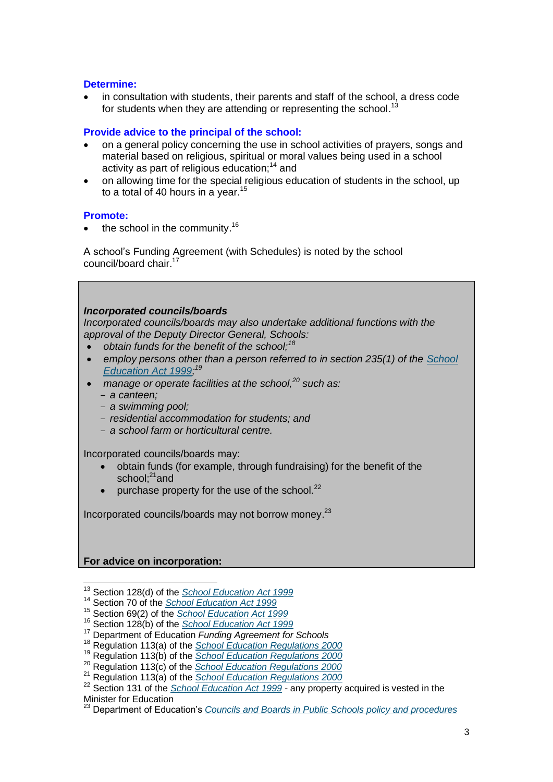#### **Determine:**

 in consultation with students, their parents and staff of the school, a dress code for students when they are attending or representing the school.<sup>13</sup>

#### **Provide advice to the principal of the school:**

- on a general policy concerning the use in school activities of prayers, songs and material based on religious, spiritual or moral values being used in a school activity as part of religious education;<sup>14</sup> and
- on allowing time for the special religious education of students in the school, up to a total of 40 hours in a year.<sup>15</sup>

#### **Promote:**

 $\bullet$  the school in the community.<sup>16</sup>

A school's Funding Agreement (with Schedules) is noted by the school council/board chair.<sup>1</sup>

#### *Incorporated councils/boards*

*Incorporated councils/boards may also undertake additional functions with the approval of the Deputy Director General, Schools:*

- *obtain funds for the benefit of the school;<sup>18</sup>*
- *employ persons other than a person referred to in section 235(1) of the [School](https://www.slp.wa.gov.au/legislation/statutes.nsf/law_a1960.html)  [Education Act 1999;](https://www.slp.wa.gov.au/legislation/statutes.nsf/law_a1960.html) 19*
- *manage or operate facilities at the school,<sup>20</sup> such as:*
	- *a canteen;*
	- *a swimming pool;*
	- *residential accommodation for students; and*
	- *a school farm or horticultural centre.*

Incorporated councils/boards may:

- obtain funds (for example, through fundraising) for the benefit of the school: $21$ and
- purchase property for the use of the school.<sup>22</sup>

Incorporated councils/boards may not borrow money. 23

#### **For advice on incorporation:**

<sup>-</sup><sup>13</sup> Section 128(d) of the *[School Education Act 1999](https://www.slp.wa.gov.au/legislation/statutes.nsf/law_a1960.html)*

<sup>14</sup> Section 70 of the *[School Education Act 1999](https://www.slp.wa.gov.au/legislation/statutes.nsf/law_a1960.html)*

<sup>15</sup> Section 69(2) of the *[School Education Act 1999](https://www.slp.wa.gov.au/legislation/statutes.nsf/law_a1960.html)*

<sup>16</sup> Section 128(b) of the *[School Education Act 1999](https://www.slp.wa.gov.au/legislation/statutes.nsf/law_a1960.html)*

<sup>17</sup> Department of Education *Funding Agreement for Schools*

<sup>18</sup> Regulation 113(a) of the *[School Education Regulations 2000](https://www.slp.wa.gov.au/legislation/statutes.nsf/main_mrtitle_2033_homepage.html)*

<sup>19</sup> Regulation 113(b) of the *[School Education Regulations 2000](https://www.slp.wa.gov.au/legislation/statutes.nsf/main_mrtitle_2033_homepage.html)*

<sup>20</sup> Regulation 113(c) of the *[School Education Regulations 2000](https://www.slp.wa.gov.au/legislation/statutes.nsf/main_mrtitle_2033_homepage.html)*

<sup>21</sup> Regulation 113(a) of the *[School Education Regulations 2000](https://www.slp.wa.gov.au/legislation/statutes.nsf/main_mrtitle_2033_homepage.html)*

<sup>22</sup> Section 131 of the *[School Education Act 1999](https://www.slp.wa.gov.au/legislation/statutes.nsf/law_a1960.html)* - any property acquired is vested in the Minister for Education

<sup>23</sup> Department of Education's *Councils and Boards [in Public Schools policy and](http://www.det.wa.edu.au/policies/detcms/policy-planning-and-accountability/policies-framework/policies/school-councils-policy.en?cat-id=3458015) procedures*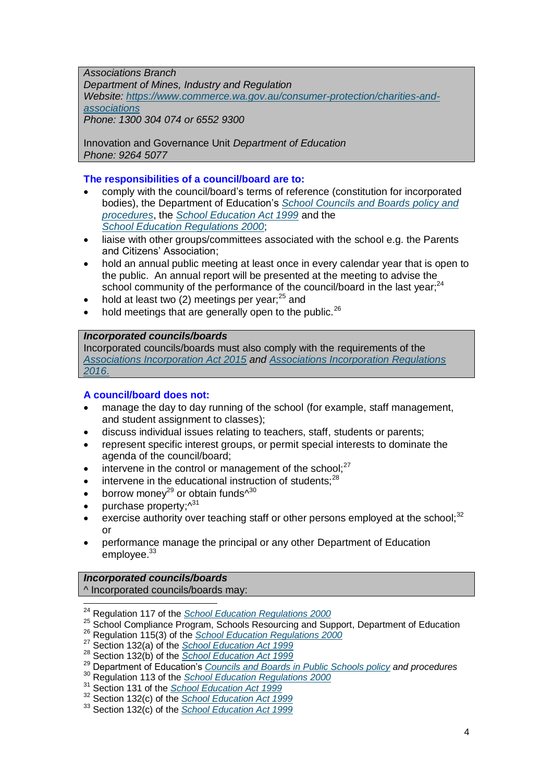*Associations Branch Department of Mines, Industry and Regulation Website: [https://www.commerce.wa.gov.au/consumer-protection/charities-and](https://www.commerce.wa.gov.au/consumer-protection/charities-and-associations)[associations](https://www.commerce.wa.gov.au/consumer-protection/charities-and-associations) Phone: 1300 304 074 or 6552 9300*

Innovation and Governance Unit *Department of Education Phone: 9264 5077*

#### **The responsibilities of a council/board are to:**

- comply with the council/board's terms of reference (constitution for incorporated bodies), the Department of Education's *School [Councils and Boards](http://www.det.wa.edu.au/policies/detcms/policy-planning-and-accountability/policies-framework/policies/school-councils-policy.en?cat-id=3458015) policy and [procedures](http://www.det.wa.edu.au/policies/detcms/policy-planning-and-accountability/policies-framework/policies/school-councils-policy.en?cat-id=3458015)*, the *[School Education Act 1999](https://www.slp.wa.gov.au/legislation/statutes.nsf/law_a1960.html)* and the *School Education [Regulations 2000](https://www.slp.wa.gov.au/legislation/statutes.nsf/main_mrtitle_2033_homepage.html)*;
- liaise with other groups/committees associated with the school e.g. the Parents and Citizens' Association;
- hold an annual public meeting at least once in every calendar year that is open to the public. An annual report will be presented at the meeting to advise the school community of the performance of the council/board in the last year;<sup>24</sup>
- hold at least two  $(2)$  meetings per year;<sup>25</sup> and
- hold meetings that are generally open to the public.<sup>26</sup>

#### *Incorporated councils/boards*

Incorporated councils/boards must also comply with the requirements of the *[Associations Incorporation Act 2015](https://www.slp.wa.gov.au/legislation/statutes.nsf/law_a147082.html) and [Associations Incorporation Regulations](https://www.slp.wa.gov.au/legislation/statutes.nsf/law_s48051.html)  [2016](https://www.slp.wa.gov.au/legislation/statutes.nsf/law_s48051.html)*.

#### **A council/board does not:**

- manage the day to day running of the school (for example, staff management, and student assignment to classes);
- discuss individual issues relating to teachers, staff, students or parents;
- represent specific interest groups, or permit special interests to dominate the agenda of the council/board;
- intervene in the control or management of the school; $27$
- $\bullet$  intervene in the educational instruction of students;<sup>28</sup>
- borrow money<sup>29</sup> or obtain funds<sup> $\wedge^{30}$ </sup>
- purchase property; $\wedge^{31}$
- exercise authority over teaching staff or other persons employed at the school: $32$ or
- performance manage the principal or any other Department of Education employee.<sup>33</sup>

#### *Incorporated councils/boards* ^ Incorporated councils/boards may:

<sup>26</sup> Regulation 115(3) of the *[School Education Regulations 2000](https://www.slp.wa.gov.au/legislation/statutes.nsf/main_mrtitle_2033_homepage.html)*

 $\overline{a}$ <sup>24</sup> Regulation 117 of the *[School Education Regulations 2000](https://www.slp.wa.gov.au/legislation/statutes.nsf/main_mrtitle_2033_homepage.html)*

<sup>&</sup>lt;sup>25</sup> School Compliance Program, Schools Resourcing and Support, Department of Education

<sup>27</sup> Section 132(a) of the *[School Education Act 1999](https://www.slp.wa.gov.au/legislation/statutes.nsf/law_a1960.html)*

<sup>28</sup> Section 132(b) of the *[School Education Act 1999](https://www.slp.wa.gov.au/legislation/statutes.nsf/law_a1960.html)*

<sup>29</sup> Department of Education's *Councils and Boards [in Public Schools policy](http://www.det.wa.edu.au/policies/detcms/policy-planning-and-accountability/policies-framework/policies/school-councils-policy.en?cat-id=3458015) and procedures*

<sup>30</sup> Regulation 113 of the *[School Education Regulations 2000](https://www.slp.wa.gov.au/legislation/statutes.nsf/main_mrtitle_2033_homepage.html)*

<sup>31</sup> Section 131 of the *[School Education Act 1999](https://www.slp.wa.gov.au/legislation/statutes.nsf/law_a1960.html)*

<sup>32</sup> Section 132(c) of the *[School Education Act 1999](https://www.slp.wa.gov.au/legislation/statutes.nsf/law_a1960.html)*

<sup>33</sup> Section 132(c) of the *[School Education Act 1999](https://www.slp.wa.gov.au/legislation/statutes.nsf/law_a1960.html)*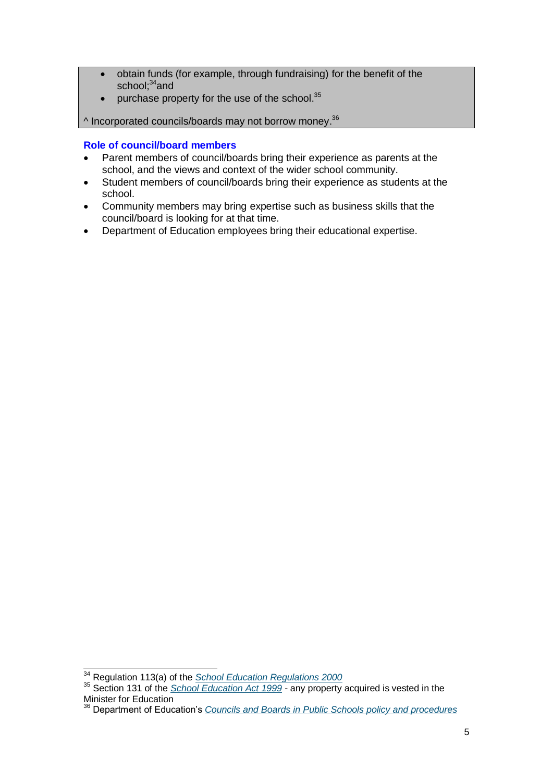- obtain funds (for example, through fundraising) for the benefit of the school; $34$ and
- $\bullet$  purchase property for the use of the school.<sup>35</sup>

 $\wedge$  Incorporated councils/boards may not borrow money.<sup>36</sup>

#### **Role of council/board members**

- Parent members of council/boards bring their experience as parents at the school, and the views and context of the wider school community.
- Student members of council/boards bring their experience as students at the school.
- Community members may bring expertise such as business skills that the council/board is looking for at that time.
- Department of Education employees bring their educational expertise.

 $\overline{a}$ 

<sup>34</sup> Regulation 113(a) of the *[School Education Regulations 2000](https://www.slp.wa.gov.au/legislation/statutes.nsf/main_mrtitle_2033_homepage.html)*

<sup>35</sup> Section 131 of the *[School Education Act 1999](https://www.slp.wa.gov.au/legislation/statutes.nsf/law_a1960.html)* - any property acquired is vested in the Minister for Education

<sup>36</sup> Department of Education's *Councils and Boards [in Public Schools policy and procedures](http://www.det.wa.edu.au/policies/detcms/policy-planning-and-accountability/policies-framework/policies/school-councils-policy.en?cat-id=3458015)*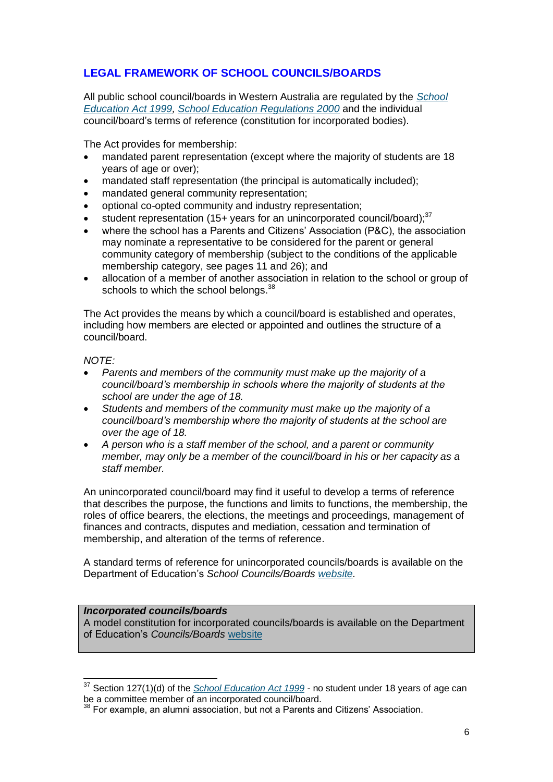# **LEGAL FRAMEWORK OF SCHOOL COUNCILS/BOARDS**

All public school council/boards in Western Australia are regulated by the *[School](https://www.slp.wa.gov.au/legislation/statutes.nsf/law_a1960.html)  [Education Act 1999,](https://www.slp.wa.gov.au/legislation/statutes.nsf/law_a1960.html) School [Education Regulations 2000](https://www.slp.wa.gov.au/legislation/statutes.nsf/main_mrtitle_2033_homepage.html)* and the individual council/board's terms of reference (constitution for incorporated bodies).

The Act provides for membership:

- mandated parent representation (except where the majority of students are 18 years of age or over);
- mandated staff representation (the principal is automatically included);
- mandated general community representation;
- optional co-opted community and industry representation;
- student representation (15+ years for an unincorporated council/board); $37$
- where the school has a Parents and Citizens' Association (P&C), the association may nominate a representative to be considered for the parent or general community category of membership (subject to the conditions of the applicable membership category, see pages 11 and 26); and
- allocation of a member of another association in relation to the school or group of schools to which the school belongs.<sup>38</sup>

The Act provides the means by which a council/board is established and operates, including how members are elected or appointed and outlines the structure of a council/board.

#### *NOTE:*

-

- *Parents and members of the community must make up the majority of a council/board's membership in schools where the majority of students at the school are under the age of 18.*
- *Students and members of the community must make up the majority of a council/board's membership where the majority of students at the school are over the age of 18.*
- *A person who is a staff member of the school, and a parent or community member, may only be a member of the council/board in his or her capacity as a staff member.*

An unincorporated council/board may find it useful to develop a terms of reference that describes the purpose, the functions and limits to functions, the membership, the roles of office bearers, the elections, the meetings and proceedings, management of finances and contracts, disputes and mediation, cessation and termination of membership, and alteration of the terms of reference.

A standard terms of reference for unincorporated councils/boards is available on the Department of Education's *School Councils/Boards [website.](https://www.education.wa.edu.au/school-councils-boards)*

#### *Incorporated councils/boards*

A model constitution for incorporated councils/boards is available on the Department of Education's *Councils/Boards* [website](https://www.education.wa.edu.au/school-councils-boards)

<sup>37</sup> Section 127(1)(d) of the *[School Education Act 1999](https://www.slp.wa.gov.au/legislation/statutes.nsf/law_a1960.html) -* no student under 18 years of age can be a committee member of an incorporated council/board.

<sup>&</sup>lt;sup>38</sup> For example, an alumni association, but not a Parents and Citizens' Association.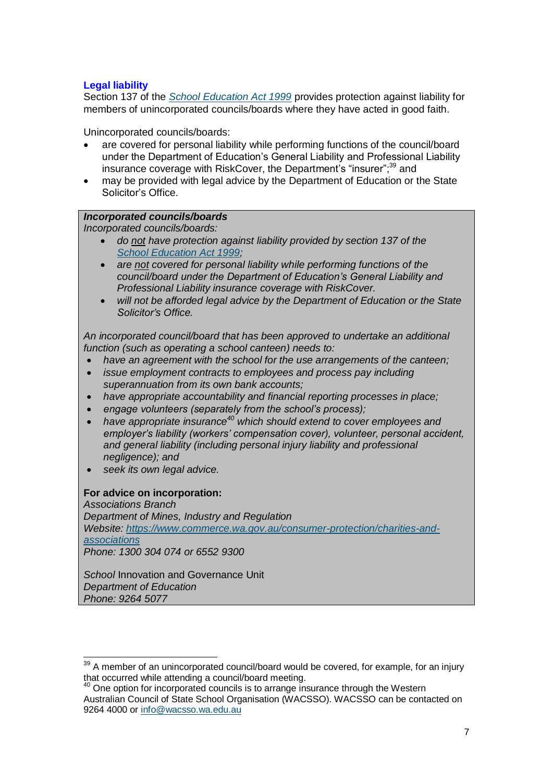## **Legal liability**

Section 137 of the *School [Education Act 1999](https://www.slp.wa.gov.au/legislation/statutes.nsf/law_a1960.html)* provides protection against liability for members of unincorporated councils/boards where they have acted in good faith.

Unincorporated councils/boards:

- are covered for personal liability while performing functions of the council/board under the Department of Education's General Liability and Professional Liability insurance coverage with RiskCover, the Department's "insurer";<sup>39</sup> and
- may be provided with legal advice by the Department of Education or the State Solicitor's Office.

#### *Incorporated councils/boards*

*Incorporated councils/boards:*

- *do not have protection against liability provided by section 137 of the School [Education](https://www.slp.wa.gov.au/legislation/statutes.nsf/law_a1960.html) Act 1999;*
- *are not covered for personal liability while performing functions of the council/board under the Department of Education's General Liability and Professional Liability insurance coverage with RiskCover.*
- *will not be afforded legal advice by the Department of Education or the State Solicitor's Office.*

*An incorporated council/board that has been approved to undertake an additional function (such as operating a school canteen) needs to:*

- *have an agreement with the school for the use arrangements of the canteen;*
- *issue employment contracts to employees and process pay including superannuation from its own bank accounts;*
- *have appropriate accountability and financial reporting processes in place;*
- *engage volunteers (separately from the school's process);*
- *have appropriate insurance<sup>40</sup> which should extend to cover employees and employer's liability (workers' compensation cover), volunteer, personal accident, and general liability (including personal injury liability and professional negligence); and*
- *seek its own legal advice.*

#### **For advice on incorporation:**

 $\overline{1}$ 

*Associations Branch Department of Mines, Industry and Regulation Website: [https://www.commerce.wa.gov.au/consumer-protection/charities-and](https://www.commerce.wa.gov.au/consumer-protection/charities-and-associations)[associations](https://www.commerce.wa.gov.au/consumer-protection/charities-and-associations) Phone: 1300 304 074 or 6552 9300*

**School Innovation and Governance Unit** *Department of Education Phone: 9264 5077*

 $39$  A member of an unincorporated council/board would be covered, for example, for an injury that occurred while attending a council/board meeting.

<sup>&</sup>lt;sup>40</sup> One option for incorporated councils is to arrange insurance through the Western Australian Council of State School Organisation (WACSSO). WACSSO can be contacted on 9264 4000 or [info@wacsso.wa.edu.au](mailto:info@wacsso.wa.edu.au)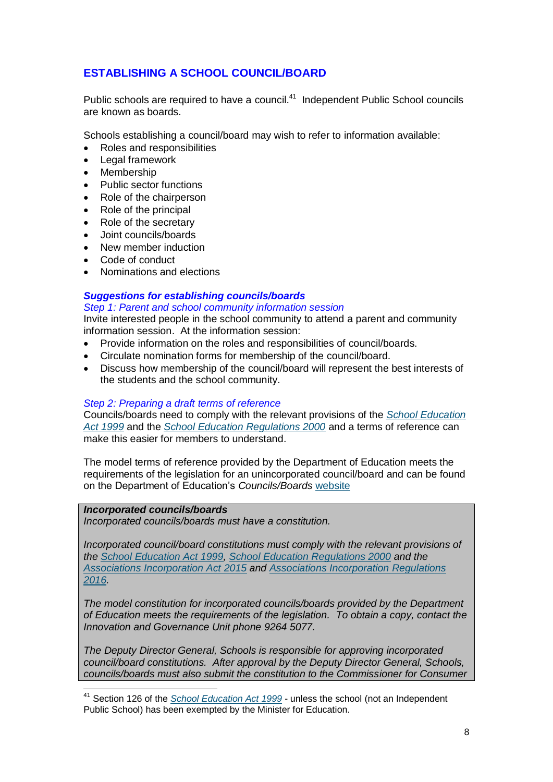# **ESTABLISHING A SCHOOL COUNCIL/BOARD**

Public schools are required to have a council.<sup>41</sup> Independent Public School councils are known as boards.

Schools establishing a council/board may wish to refer to information available:

- Roles and responsibilities
- Legal framework
- Membership
- Public sector functions
- Role of the chairperson
- Role of the principal
- Role of the secretary
- Joint councils/boards
- New member induction
- Code of conduct
- Nominations and elections

#### *Suggestions for establishing councils/boards*

*Step 1: Parent and school community information session* Invite interested people in the school community to attend a parent and community information session. At the information session:

- Provide information on the roles and responsibilities of council/boards.
- Circulate nomination forms for membership of the council/board.
- Discuss how membership of the council/board will represent the best interests of the students and the school community.

#### *Step 2: Preparing a draft terms of reference*

Councils/boards need to comply with the relevant provisions of the *School [Education](https://www.slp.wa.gov.au/legislation/statutes.nsf/law_a1960.html)  [Act 1999](https://www.slp.wa.gov.au/legislation/statutes.nsf/law_a1960.html)* and the *School [Education Regulations 2000](https://www.slp.wa.gov.au/legislation/statutes.nsf/main_mrtitle_2033_homepage.html)* and a terms of reference can make this easier for members to understand.

The model terms of reference provided by the Department of Education meets the requirements of the legislation for an unincorporated council/board and can be found on the Department of Education's *Councils/Boards* [website](https://www.education.wa.edu.au/school-councils-boards)

#### *Incorporated councils/boards*

 $\overline{\phantom{a}}$ 

*Incorporated councils/boards must have a constitution.*

*Incorporated council/board constitutions must comply with the relevant provisions of the School [Education Act 1999,](https://www.slp.wa.gov.au/legislation/statutes.nsf/law_a1960.html) School [Education Regulations 2000](https://www.slp.wa.gov.au/legislation/statutes.nsf/main_mrtitle_2033_homepage.html) and the [Associations Incorporation Act 2015](https://www.slp.wa.gov.au/legislation/statutes.nsf/law_a147082.html) and [Associations Incorporation Regulations](https://www.slp.wa.gov.au/legislation/statutes.nsf/law_s48051.html) [2016.](https://www.slp.wa.gov.au/legislation/statutes.nsf/law_s48051.html)*

*The model constitution for incorporated councils/boards provided by the Department of Education meets the requirements of the legislation. To obtain a copy, contact the Innovation and Governance Unit phone 9264 5077.*

*The Deputy Director General, Schools is responsible for approving incorporated council/board constitutions. After approval by the Deputy Director General, Schools, councils/boards must also submit the constitution to the Commissioner for Consumer* 

<sup>&</sup>lt;sup>41</sup> Section 126 of the *[School Education Act 1999](https://www.slp.wa.gov.au/legislation/statutes.nsf/law_a1960.html)* - unless the school (not an Independent Public School) has been exempted by the Minister for Education.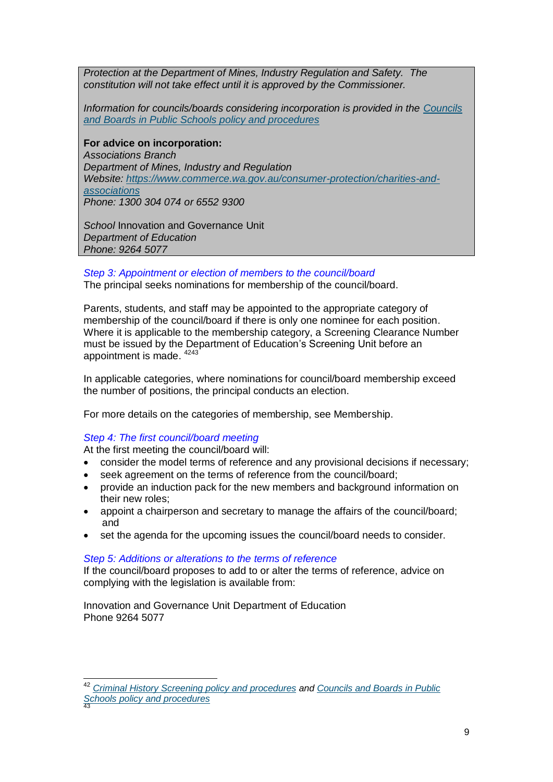*Protection at the Department of Mines, Industry Regulation and Safety. The constitution will not take effect until it is approved by the Commissioner.*

*Information for councils/boards considering incorporation is provided in the [Councils](http://www.det.wa.edu.au/policies/detcms/policy-planning-and-accountability/policies-framework/policies/school-councils-policy.en?cat-id=3458015)  and Boards [in Public Schools policy and procedures](http://www.det.wa.edu.au/policies/detcms/policy-planning-and-accountability/policies-framework/policies/school-councils-policy.en?cat-id=3458015)*

**For advice on incorporation:** *Associations Branch Department of Mines, Industry and Regulation Website: [https://www.commerce.wa.gov.au/consumer-protection/charities-and](https://www.commerce.wa.gov.au/consumer-protection/charities-and-associations)[associations](https://www.commerce.wa.gov.au/consumer-protection/charities-and-associations) Phone: 1300 304 074 or 6552 9300*

**School Innovation and Governance Unit** *Department of Education Phone: 9264 5077*

*Step 3: Appointment or election of members to the council/board* The principal seeks nominations for membership of the council/board.

Parents, students, and staff may be appointed to the appropriate category of membership of the council/board if there is only one nominee for each position. Where it is applicable to the membership category, a Screening Clearance Number must be issued by the Department of Education's Screening Unit before an appointment is made. <sup>4243</sup>

In applicable categories, where nominations for council/board membership exceed the number of positions, the principal conducts an election.

For more details on the categories of membership, see Membership.

#### *Step 4: The first council/board meeting*

-

At the first meeting the council/board will:

- consider the model terms of reference and any provisional decisions if necessary;
- seek agreement on the terms of reference from the council/board:
- provide an induction pack for the new members and background information on their new roles;
- appoint a chairperson and secretary to manage the affairs of the council/board; and
- set the agenda for the upcoming issues the council/board needs to consider.

#### *Step 5: Additions or alterations to the terms of reference*

If the council/board proposes to add to or alter the terms of reference, advice on complying with the legislation is available from:

Innovation and Governance Unit Department of Education Phone 9264 5077

<sup>42</sup> *[Criminal History Screening policy and procedures](http://www.det.wa.edu.au/policies/detcms/policy-planning-and-accountability/policies-framework/policies/criminal-history-screening-policy.en?cat-id=3457997) and [Councils and Boards](http://www.det.wa.edu.au/policies/detcms/policy-planning-and-accountability/policies-framework/policies/school-councils-policy.en?cat-id=3458015) in Public [Schools policy and procedures](http://www.det.wa.edu.au/policies/detcms/policy-planning-and-accountability/policies-framework/policies/school-councils-policy.en?cat-id=3458015)* 43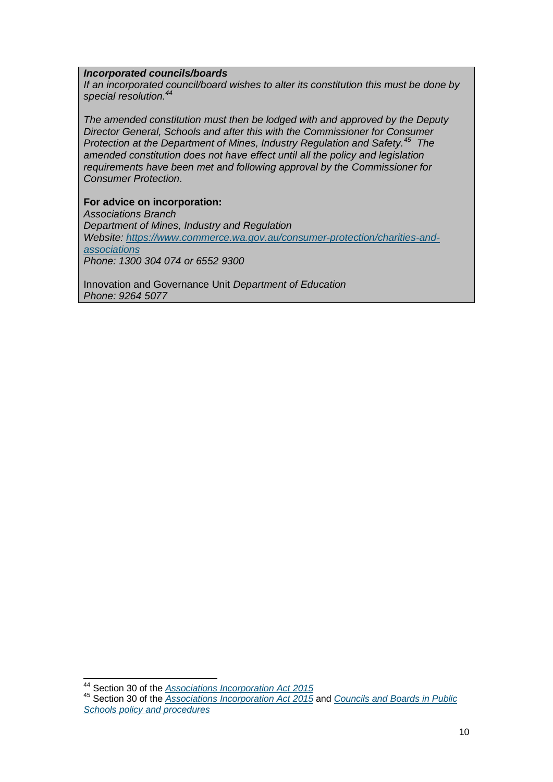#### *Incorporated councils/boards*

*If an incorporated council/board wishes to alter its constitution this must be done by special resolution.<sup>44</sup>*

*The amended constitution must then be lodged with and approved by the Deputy Director General, Schools and after this with the Commissioner for Consumer Protection at the Department of Mines, Industry Regulation and Safety.<sup>45</sup> The amended constitution does not have effect until all the policy and legislation requirements have been met and following approval by the Commissioner for Consumer Protection.*

**For advice on incorporation:**

*Associations Branch Department of Mines, Industry and Regulation Website: [https://www.commerce.wa.gov.au/consumer-protection/charities-and](https://www.commerce.wa.gov.au/consumer-protection/charities-and-associations)[associations](https://www.commerce.wa.gov.au/consumer-protection/charities-and-associations) Phone: 1300 304 074 or 6552 9300*

Innovation and Governance Unit *Department of Education Phone: 9264 5077*

<sup>44</sup> Section 30 of the *[Associations Incorporation Act 2015](https://www.slp.wa.gov.au/legislation/statutes.nsf/law_a147082.html)*

-

<sup>45</sup> Section 30 of the *[Associations Incorporation Act 2015](https://www.slp.wa.gov.au/legislation/statutes.nsf/law_a147082.html)* and *[Councils and Boards](http://www.det.wa.edu.au/policies/detcms/policy-planning-and-accountability/policies-framework/policies/school-councils-policy.en?cat-id=3458015) in Public [Schools policy and procedures](http://www.det.wa.edu.au/policies/detcms/policy-planning-and-accountability/policies-framework/policies/school-councils-policy.en?cat-id=3458015)*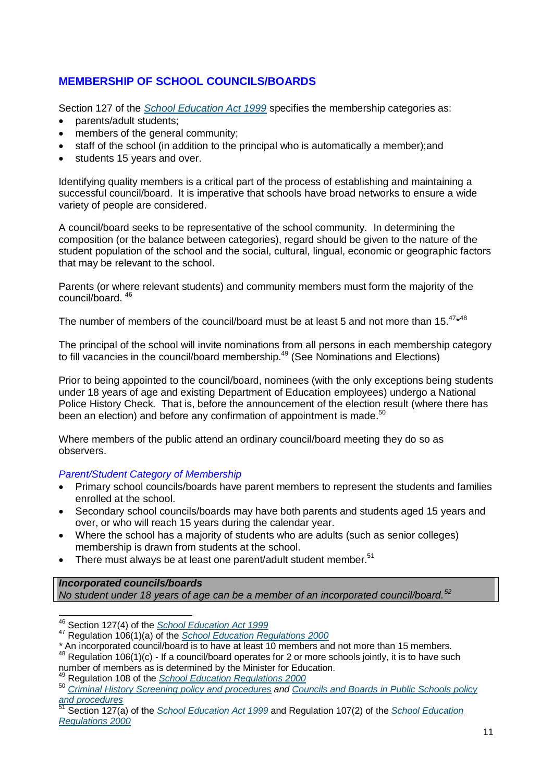# **MEMBERSHIP OF SCHOOL COUNCILS/BOARDS**

Section 127 of the *[School Education Act 1999](https://www.slp.wa.gov.au/legislation/statutes.nsf/law_a1960.html)* specifies the membership categories as:

- parents/adult students;
- members of the general community;
- staff of the school (in addition to the principal who is automatically a member);and
- students 15 years and over.

Identifying quality members is a critical part of the process of establishing and maintaining a successful council/board. It is imperative that schools have broad networks to ensure a wide variety of people are considered.

A council/board seeks to be representative of the school community. In determining the composition (or the balance between categories), regard should be given to the nature of the student population of the school and the social, cultural, lingual, economic or geographic factors that may be relevant to the school.

Parents (or where relevant students) and community members must form the majority of the council/board. 46

The number of members of the council/board must be at least 5 and not more than 15. $47*48$ 

The principal of the school will invite nominations from all persons in each membership category to fill vacancies in the council/board membership.<sup>49</sup> (See Nominations and Elections)

Prior to being appointed to the council/board, nominees (with the only exceptions being students under 18 years of age and existing Department of Education employees) undergo a National Police History Check. That is, before the announcement of the election result (where there has been an election) and before any confirmation of appointment is made. $50$ 

Where members of the public attend an ordinary council/board meeting they do so as observers.

*Parent/Student Category of Membership*

- Primary school councils/boards have parent members to represent the students and families enrolled at the school.
- Secondary school councils/boards may have both parents and students aged 15 years and over, or who will reach 15 years during the calendar year.
- Where the school has a majority of students who are adults (such as senior colleges) membership is drawn from students at the school.
- There must always be at least one parent/adult student member.<sup>51</sup>

#### *Incorporated councils/boards*

*No student under 18 years of age can be a member of an incorporated council/board.<sup>52</sup>*

j <sup>46</sup> Section 127(4) of the *[School Education Act 1999](https://www.slp.wa.gov.au/legislation/statutes.nsf/law_a1960.html)*

<sup>47</sup> Regulation 106(1)(a) of the *[School Education Regulations 2000](https://www.slp.wa.gov.au/legislation/statutes.nsf/main_mrtitle_2033_homepage.html)*

*<sup>\*</sup>* An incorporated council/board is to have at least 10 members and not more than 15 members.

<sup>&</sup>lt;sup>48</sup> Regulation 106(1)(c) - If a council/board operates for 2 or more schools jointly, it is to have such number of members as is determined by the Minister for Education.

<sup>49</sup> Regulation 108 of the *[School Education Regulations 2000](https://www.slp.wa.gov.au/legislation/statutes.nsf/main_mrtitle_2033_homepage.html)*

<sup>50</sup> *[Criminal History Screening policy and procedures](http://www.det.wa.edu.au/policies/detcms/policy-planning-and-accountability/policies-framework/policies/criminal-history-screening-policy.en?cat-id=3457997) and Councils and Boards [in Public Schools policy](http://www.det.wa.edu.au/policies/detcms/policy-planning-and-accountability/policies-framework/policies/school-councils-policy.en?cat-id=3458015)  [and procedures](http://www.det.wa.edu.au/policies/detcms/policy-planning-and-accountability/policies-framework/policies/school-councils-policy.en?cat-id=3458015)*

<sup>51</sup> Section 127(a) of the *[School Education Act 1999](https://www.slp.wa.gov.au/legislation/statutes.nsf/law_a1960.html)* and Regulation 107(2) of the *[School Education](https://www.slp.wa.gov.au/legislation/statutes.nsf/main_mrtitle_2033_homepage.html)  [Regulations 2000](https://www.slp.wa.gov.au/legislation/statutes.nsf/main_mrtitle_2033_homepage.html)*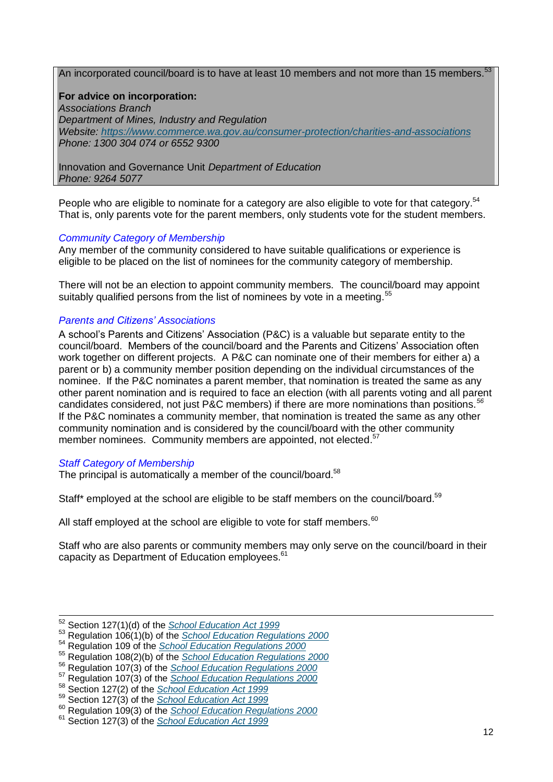An incorporated council/board is to have at least 10 members and not more than 15 members.<sup>5</sup>

**For advice on incorporation:**

*Associations Branch Department of Mines, Industry and Regulation Website:<https://www.commerce.wa.gov.au/consumer-protection/charities-and-associations> Phone: 1300 304 074 or 6552 9300*

Innovation and Governance Unit *Department of Education Phone: 9264 5077*

People who are eligible to nominate for a category are also eligible to vote for that category.<sup>54</sup> That is, only parents vote for the parent members, only students vote for the student members.

#### *Community Category of Membership*

Any member of the community considered to have suitable qualifications or experience is eligible to be placed on the list of nominees for the community category of membership.

There will not be an election to appoint community members. The council/board may appoint suitably qualified persons from the list of nominees by vote in a meeting.<sup>55</sup>

#### *Parents and Citizens' Associations*

A school's Parents and Citizens' Association (P&C) is a valuable but separate entity to the council/board. Members of the council/board and the Parents and Citizens' Association often work together on different projects. A P&C can nominate one of their members for either a) a parent or b) a community member position depending on the individual circumstances of the nominee. If the P&C nominates a parent member, that nomination is treated the same as any other parent nomination and is required to face an election (with all parents voting and all parent candidates considered, not just P&C members) if there are more nominations than positions.*<sup>56</sup>*  $\frac{1}{2}$ If the P&C nominates a community member, that nomination is treated the same as any other community nomination and is considered by the council/board with the other community member nominees. Community members are appointed, not elected.<sup>57</sup>

#### *Staff Category of Membership*

The principal is automatically a member of the council/board.<sup>58</sup>

Staff\* employed at the school are eligible to be staff members on the council/board.<sup>59</sup>

All staff employed at the school are eligible to vote for staff members. $60$ 

Staff who are also parents or community members may only serve on the council/board in their capacity as Department of Education employees.<sup>61</sup>

<sup>52</sup> Section 127(1)(d) of the *[School Education Act 1999](https://www.slp.wa.gov.au/legislation/statutes.nsf/law_a1960.html)*

<sup>53</sup> Regulation 106(1)(b) of the *[School Education Regulations 2000](https://www.slp.wa.gov.au/legislation/statutes.nsf/main_mrtitle_2033_homepage.html)*

<sup>54</sup> Regulation 109 of the *[School Education Regulations 2000](https://www.slp.wa.gov.au/legislation/statutes.nsf/main_mrtitle_2033_homepage.html)*

<sup>55</sup> Regulation 108(2)(b) of the *[School Education Regulations 2000](https://www.slp.wa.gov.au/legislation/statutes.nsf/main_mrtitle_2033_homepage.html)*

<sup>56</sup> Regulation 107(3) of the *[School Education Regulations 2000](https://www.slp.wa.gov.au/legislation/statutes.nsf/main_mrtitle_2033_homepage.html)*

<sup>57</sup> Regulation 107(3) of the *[School Education Regulations](https://www.slp.wa.gov.au/legislation/statutes.nsf/main_mrtitle_2033_homepage.html) 2000*

<sup>58</sup> Section 127(2) of the *[School Education Act 1999](https://www.slp.wa.gov.au/legislation/statutes.nsf/law_a1960.html)*

<sup>59</sup> Section 127(3) of the *[School Education Act 1999](https://www.slp.wa.gov.au/legislation/statutes.nsf/law_a1960.html)*

<sup>60</sup> Regulation 109(3) of the *[School Education Regulations 2000](https://www.slp.wa.gov.au/legislation/statutes.nsf/main_mrtitle_2033_homepage.html)*

<sup>61</sup> Section 127(3) of the *[School Education Act 1999](https://www.slp.wa.gov.au/legislation/statutes.nsf/law_a1960.html)*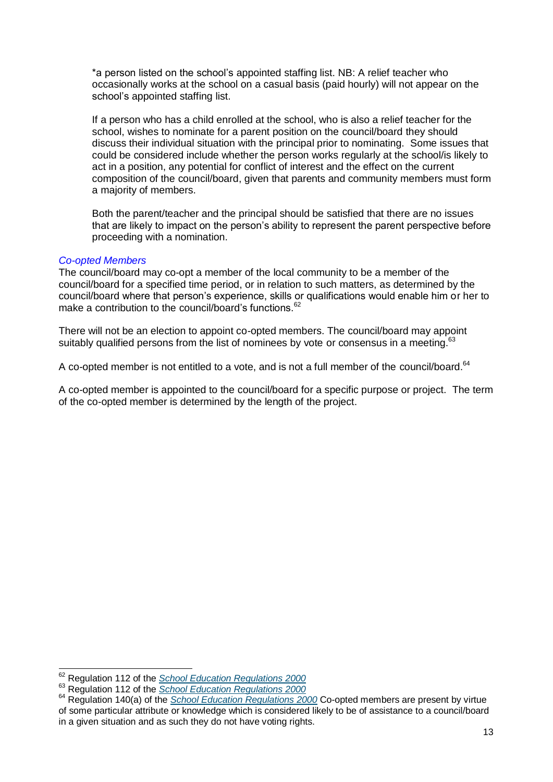\*a person listed on the school's appointed staffing list. NB: A relief teacher who occasionally works at the school on a casual basis (paid hourly) will not appear on the school's appointed staffing list.

If a person who has a child enrolled at the school, who is also a relief teacher for the school, wishes to nominate for a parent position on the council/board they should discuss their individual situation with the principal prior to nominating. Some issues that could be considered include whether the person works regularly at the school/is likely to act in a position, any potential for conflict of interest and the effect on the current composition of the council/board, given that parents and community members must form a majority of members.

Both the parent/teacher and the principal should be satisfied that there are no issues that are likely to impact on the person's ability to represent the parent perspective before proceeding with a nomination.

#### *Co-opted Members*

 $\overline{a}$ 

The council/board may co-opt a member of the local community to be a member of the council/board for a specified time period, or in relation to such matters, as determined by the council/board where that person's experience, skills or qualifications would enable him or her to make a contribution to the council/board's functions.<sup>62</sup>

There will not be an election to appoint co-opted members. The council/board may appoint suitably qualified persons from the list of nominees by vote or consensus in a meeting.<sup>63</sup>

A co-opted member is not entitled to a vote, and is not a full member of the council/board.<sup>64</sup>

A co-opted member is appointed to the council/board for a specific purpose or project. The term of the co-opted member is determined by the length of the project.

<sup>62</sup> Regulation 112 of the *[School Education Regulations 2000](https://www.slp.wa.gov.au/legislation/statutes.nsf/main_mrtitle_2033_homepage.html)*

<sup>63</sup> Regulation 112 of the *[School Education Regulations 2000](https://www.slp.wa.gov.au/legislation/statutes.nsf/main_mrtitle_2033_homepage.html)*

<sup>&</sup>lt;sup>64</sup> Regulation 140(a) of the *[School Education Regulations 2000](https://www.slp.wa.gov.au/legislation/statutes.nsf/main_mrtitle_2033_homepage.html)* Co-opted members are present by virtue of some particular attribute or knowledge which is considered likely to be of assistance to a council/board in a given situation and as such they do not have voting rights.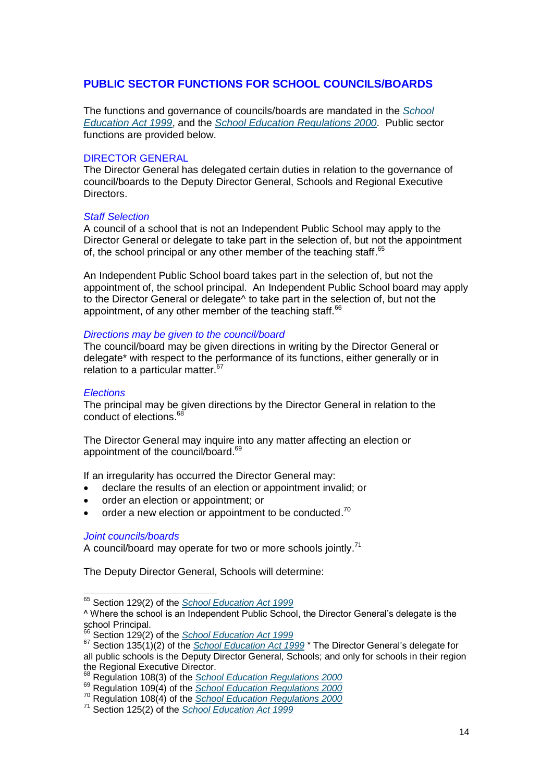#### **PUBLIC SECTOR FUNCTIONS FOR SCHOOL COUNCILS/BOARDS**

The functions and governance of councils/boards are mandated in the *[School](https://www.slp.wa.gov.au/legislation/statutes.nsf/law_a1960.html)  [Education Act 1999](https://www.slp.wa.gov.au/legislation/statutes.nsf/law_a1960.html)*, and the *[School Education Regulations 2000.](https://www.slp.wa.gov.au/legislation/statutes.nsf/main_mrtitle_2033_homepage.html)* Public sector functions are provided below.

#### DIRECTOR GENERAL

The Director General has delegated certain duties in relation to the governance of council/boards to the Deputy Director General, Schools and Regional Executive Directors.

#### *Staff Selection*

A council of a school that is not an Independent Public School may apply to the Director General or delegate to take part in the selection of, but not the appointment of, the school principal or any other member of the teaching staff.<sup>65</sup>

An Independent Public School board takes part in the selection of, but not the appointment of, the school principal. An Independent Public School board may apply to the Director General or delegate^ to take part in the selection of, but not the appointment, of any other member of the teaching staff.<sup>66</sup>

#### *Directions may be given to the council/board*

The council/board may be given directions in writing by the Director General or delegate\* with respect to the performance of its functions, either generally or in relation to a particular matter.<sup>67</sup>

#### *Elections*

The principal may be given directions by the Director General in relation to the conduct of elections. 68

The Director General may inquire into any matter affecting an election or appointment of the council/board.<sup>69</sup>

If an irregularity has occurred the Director General may:

- declare the results of an election or appointment invalid; or
- order an election or appointment; or
- $\bullet$  order a new election or appointment to be conducted.<sup>70</sup>

#### *Joint councils/boards*

A council/board may operate for two or more schools jointly.<sup>71</sup>

The Deputy Director General, Schools will determine:

 $\overline{\phantom{a}}$ <sup>65</sup> Section 129(2) of the *[School Education Act 1999](https://www.slp.wa.gov.au/legislation/statutes.nsf/law_a1960.html)*

<sup>^</sup> Where the school is an Independent Public School, the Director General's delegate is the school Principal.

<sup>66</sup> Section 129(2) of the *[School Education Act 1999](https://www.slp.wa.gov.au/legislation/statutes.nsf/law_a1960.html)*

<sup>67</sup> Section 135(1)(2) of the *[School Education Act 1999](https://www.slp.wa.gov.au/legislation/statutes.nsf/law_a1960.html)* \* The Director General's delegate for all public schools is the Deputy Director General, Schools; and only for schools in their region the Regional Executive Director.

<sup>68</sup> Regulation 108(3) of the *[School Education Regulations 2000](https://www.slp.wa.gov.au/legislation/statutes.nsf/main_mrtitle_2033_homepage.html)*

<sup>69</sup> Regulation 109(4) of the *[School Education Regulations 2000](https://www.slp.wa.gov.au/legislation/statutes.nsf/main_mrtitle_2033_homepage.html)*

<sup>70</sup> Regulation 108(4) of the *[School Education Regulations 2000](https://www.slp.wa.gov.au/legislation/statutes.nsf/main_mrtitle_2033_homepage.html)*

<sup>71</sup> Section 125(2) of the *[School Education Act 1999](https://www.slp.wa.gov.au/legislation/statutes.nsf/law_a1960.html)*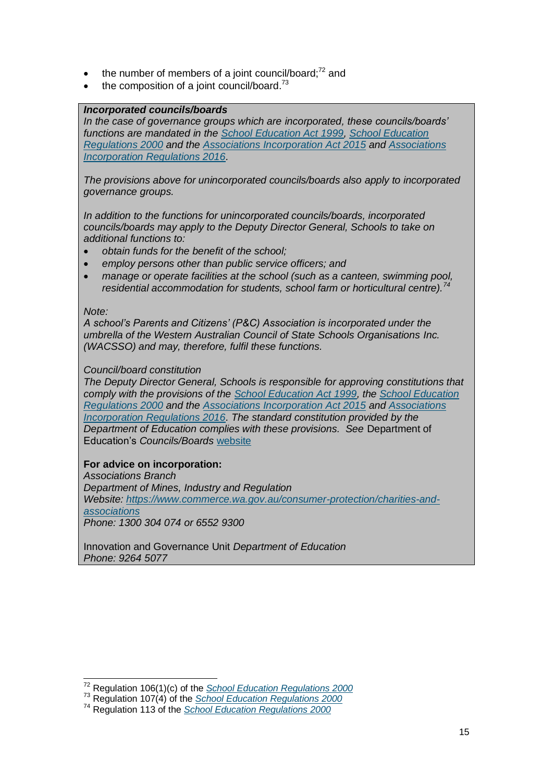- $\bullet$  the number of members of a joint council/board;<sup>72</sup> and
- $\bullet$  the composition of a joint council/board.<sup>73</sup>

#### *Incorporated councils/boards*

*In the case of governance groups which are incorporated, these councils/boards' functions are mandated in the [School Education Act 1999,](https://www.slp.wa.gov.au/legislation/statutes.nsf/law_a1960.html) [School Education](https://www.slp.wa.gov.au/legislation/statutes.nsf/main_mrtitle_2033_homepage.html)  [Regulations 2000](https://www.slp.wa.gov.au/legislation/statutes.nsf/main_mrtitle_2033_homepage.html) and the [Associations Incorporation Act 2015](https://www.slp.wa.gov.au/legislation/statutes.nsf/law_a147082.html) and [Associations](https://www.slp.wa.gov.au/legislation/statutes.nsf/law_s48051.html)  [Incorporation Regulations 2016.](https://www.slp.wa.gov.au/legislation/statutes.nsf/law_s48051.html)* 

*The provisions above for unincorporated councils/boards also apply to incorporated governance groups.*

*In addition to the functions for unincorporated councils/boards, incorporated councils/boards may apply to the Deputy Director General, Schools to take on additional functions to:*

- *obtain funds for the benefit of the school;*
- *employ persons other than public service officers; and*
- *manage or operate facilities at the school (such as a canteen, swimming pool, residential accommodation for students, school farm or horticultural centre).<sup>74</sup>*

#### *Note:*

-

*A school's Parents and Citizens' (P&C) Association is incorporated under the umbrella of the Western Australian Council of State Schools Organisations Inc. (WACSSO) and may, therefore, fulfil these functions.*

#### *Council/board constitution*

*The Deputy Director General, Schools is responsible for approving constitutions that comply with the provisions of the [School Education Act 1999,](https://www.slp.wa.gov.au/legislation/statutes.nsf/law_a1960.html) the [School Education](https://www.slp.wa.gov.au/legislation/statutes.nsf/main_mrtitle_2033_homepage.html)  [Regulations 2000](https://www.slp.wa.gov.au/legislation/statutes.nsf/main_mrtitle_2033_homepage.html) and the [Associations Incorporation Act 2015](https://www.slp.wa.gov.au/legislation/statutes.nsf/law_a147082.html) and [Associations](https://www.slp.wa.gov.au/legislation/statutes.nsf/law_s48051.html)  [Incorporation Regulations 2016.](https://www.slp.wa.gov.au/legislation/statutes.nsf/law_s48051.html) The standard constitution provided by the Department of Education complies with these provisions. See* Department of Education's *Councils/Boards* [website](https://www.education.wa.edu.au/school-councils-boards)

#### **For advice on incorporation:**

*Associations Branch Department of Mines, Industry and Regulation Website: [https://www.commerce.wa.gov.au/consumer-protection/charities-and](https://www.commerce.wa.gov.au/consumer-protection/charities-and-associations)[associations](https://www.commerce.wa.gov.au/consumer-protection/charities-and-associations) Phone: 1300 304 074 or 6552 9300*

Innovation and Governance Unit *Department of Education Phone: 9264 5077*

<sup>72</sup> Regulation 106(1)(c) of the *[School Education Regulations 2000](https://www.slp.wa.gov.au/legislation/statutes.nsf/main_mrtitle_2033_homepage.html)*

<sup>73</sup> Regulation 107(4) of the *[School Education Regulations 2000](https://www.slp.wa.gov.au/legislation/statutes.nsf/main_mrtitle_2033_homepage.html)*

<sup>74</sup> Regulation 113 of the *[School Education Regulations 2000](https://www.slp.wa.gov.au/legislation/statutes.nsf/main_mrtitle_2033_homepage.html)*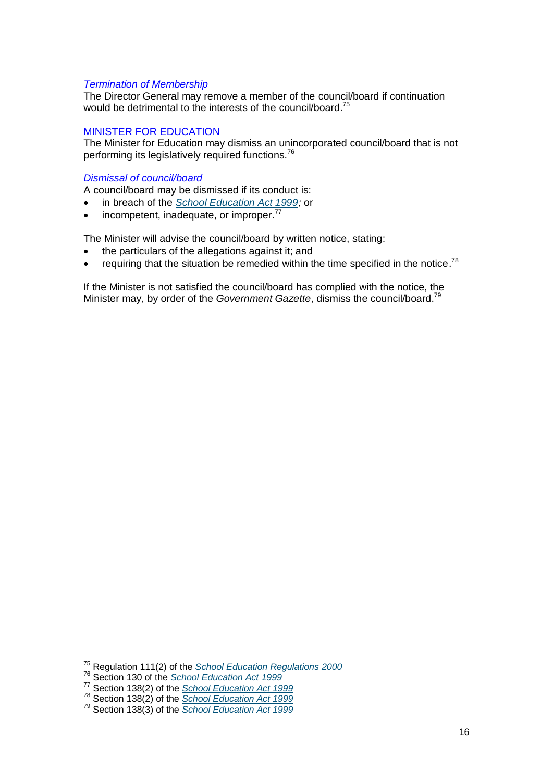#### *Termination of Membership*

The Director General may remove a member of the council/board if continuation would be detrimental to the interests of the council/board.<sup>75</sup>

#### MINISTER FOR EDUCATION

The Minister for Education may dismiss an unincorporated council/board that is not performing its legislatively required functions.<sup>76</sup>

#### *Dismissal of council/board*

A council/board may be dismissed if its conduct is:

- in breach of the *[School Education Act 1999;](https://www.slp.wa.gov.au/legislation/statutes.nsf/law_a1960.html)* or
- $\bullet$  incompetent, inadequate, or improper.<sup>77</sup>

The Minister will advise the council/board by written notice, stating:

- the particulars of the allegations against it; and
- requiring that the situation be remedied within the time specified in the notice.<sup>78</sup>

If the Minister is not satisfied the council/board has complied with the notice, the Minister may, by order of the *Government Gazette*, dismiss the council/board. 79

 $\overline{a}$ 

<sup>75</sup> Regulation 111(2) of the *[School Education Regulations 2000](https://www.slp.wa.gov.au/legislation/statutes.nsf/main_mrtitle_2033_homepage.html)*

<sup>76</sup> Section 130 of the *[School Education Act 1999](https://www.slp.wa.gov.au/legislation/statutes.nsf/law_a1960.html)*

<sup>77</sup> Section 138(2) of the *[School Education Act 1999](https://www.slp.wa.gov.au/legislation/statutes.nsf/law_a1960.html)*

<sup>78</sup> Section 138(2) of the *[School Education Act](https://www.slp.wa.gov.au/legislation/statutes.nsf/law_a1960.html) 1999*

<sup>79</sup> Section 138(3) of the *[School Education Act 1999](https://www.slp.wa.gov.au/legislation/statutes.nsf/law_a1960.html)*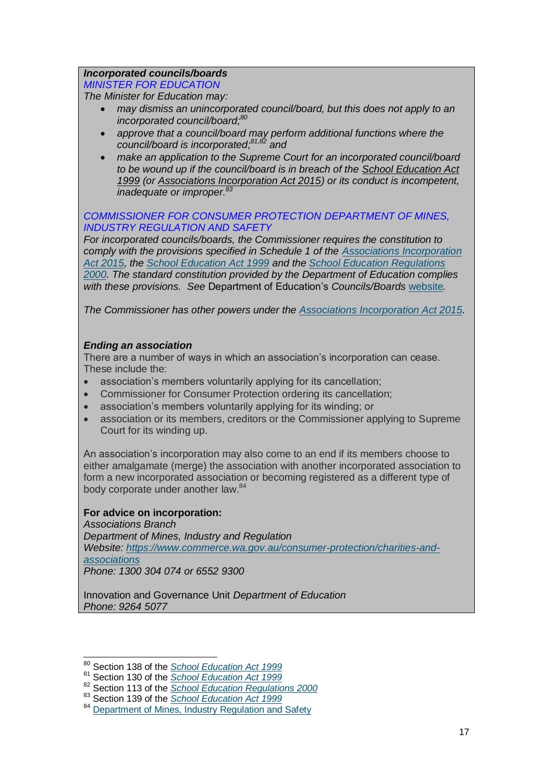#### *Incorporated councils/boards*

*MINISTER FOR EDUCATION*

*The Minister for Education may:*

- *may dismiss an unincorporated council/board, but this does not apply to an incorporated council/board;<sup>80</sup>*
- *approve that a council/board may perform additional functions where the council/board is incorporated; 81,82 and*
- *make an application to the Supreme Court for an incorporated council/board to be wound up if the council/board is in breach of the [School Education Act](https://www.slp.wa.gov.au/legislation/statutes.nsf/law_a1960.html)  [1999](https://www.slp.wa.gov.au/legislation/statutes.nsf/law_a1960.html) (or [Associations Incorporation Act 2015\)](https://www.slp.wa.gov.au/legislation/statutes.nsf/law_a147082.html) or its conduct is incompetent, inadequate or improper.<sup>83</sup>*

#### *COMMISSIONER FOR CONSUMER PROTECTION DEPARTMENT OF MINES, INDUSTRY REGULATION AND SAFETY*

*For incorporated councils/boards, the Commissioner requires the constitution to comply with the provisions specified in Schedule 1 of the [Associations Incorporation](https://www.slp.wa.gov.au/legislation/statutes.nsf/law_a147082.html)  [Act 2015,](https://www.slp.wa.gov.au/legislation/statutes.nsf/law_a147082.html) the [School Education Act 1999](https://www.slp.wa.gov.au/legislation/statutes.nsf/law_a1960.html) and the [School Education Regulations](https://www.slp.wa.gov.au/legislation/statutes.nsf/main_mrtitle_2033_homepage.html)  [2000.](https://www.slp.wa.gov.au/legislation/statutes.nsf/main_mrtitle_2033_homepage.html) The standard constitution provided by the Department of Education complies with these provisions. See* Department of Education's *Councils/Boards* [website](https://www.education.wa.edu.au/school-councils-boards)*.*

*The Commissioner has other powers under the [Associations Incorporation Act 2015.](https://www.slp.wa.gov.au/pco/prod/filestore.nsf/FileURL/mrdoc_28811.pdf/$FILE/Associations%20Incorporation%20Act%202015%20-%20%5B00-b0-01%5D.pdf?OpenElement)*

#### *Ending an association*

There are a number of ways in which an association's incorporation can cease. These include the:

- association's members voluntarily applying for its cancellation;
- Commissioner for Consumer Protection ordering its cancellation;
- association's members voluntarily applying for its winding; or
- association or its members, creditors or the Commissioner applying to Supreme Court for its winding up.

An association's incorporation may also come to an end if its members choose to either amalgamate (merge) the association with another incorporated association to form a new incorporated association or becoming registered as a different type of body corporate under another law.<sup>84</sup>

#### **For advice on incorporation:**

 $\overline{a}$ 

*Associations Branch Department of Mines, Industry and Regulation Website: [https://www.commerce.wa.gov.au/consumer-protection/charities-and](https://www.commerce.wa.gov.au/consumer-protection/charities-and-associations)[associations](https://www.commerce.wa.gov.au/consumer-protection/charities-and-associations) Phone: 1300 304 074 or 6552 9300*

Innovation and Governance Unit *Department of Education Phone: 9264 5077* 

<sup>80</sup> Section 138 of the *[School Education Act 1999](https://www.slp.wa.gov.au/pco/prod/filestore.nsf/FileURL/mrdoc_32213.pdf/$FILE/School%20Education%20Act%201999%20-%20%5B04-f0-00%5D.pdf?OpenElement)*

<sup>81</sup> Section 130 of the *[School Education Act 1999](https://www.slp.wa.gov.au/pco/prod/filestore.nsf/FileURL/mrdoc_32213.pdf/$FILE/School%20Education%20Act%201999%20-%20%5B04-f0-00%5D.pdf?OpenElement)*

<sup>82</sup> Section 113 of the *[School Education Regulations](https://www.slp.wa.gov.au/pco/prod/filestore.nsf/FileURL/mrdoc_37101.pdf/$FILE/School%20Education%20Regulations%202000%20-%20%5B03-a0-00%5D.pdf?OpenElement) 2000*

<sup>83</sup> Section 139 of the *[School Education Act 1999](https://www.slp.wa.gov.au/pco/prod/filestore.nsf/FileURL/mrdoc_32213.pdf/$FILE/School%20Education%20Act%201999%20-%20%5B04-f0-00%5D.pdf?OpenElement)*

<sup>84</sup> [Department of Mines, Industry Regulation and Safety](https://www.commerce.wa.gov.au/consumer-protection/ending-association)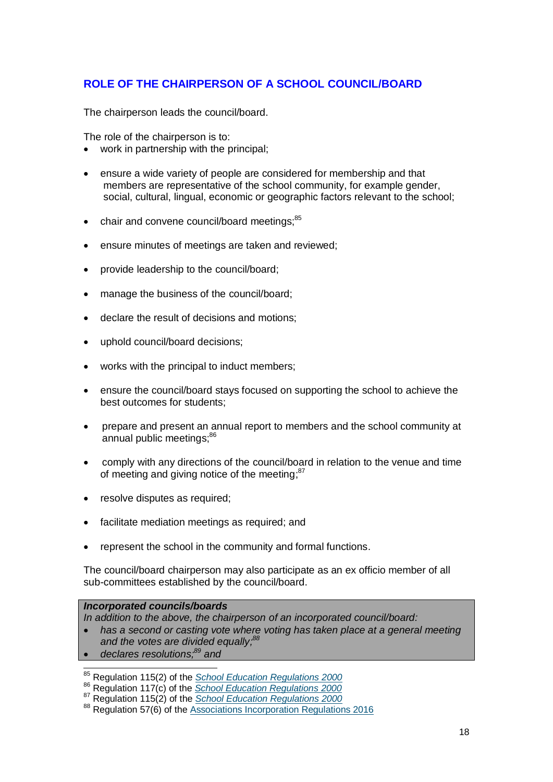# **ROLE OF THE CHAIRPERSON OF A SCHOOL COUNCIL/BOARD**

The chairperson leads the council/board.

The role of the chairperson is to:

- work in partnership with the principal;
- ensure a wide variety of people are considered for membership and that members are representative of the school community, for example gender, social, cultural, lingual, economic or geographic factors relevant to the school;
- chair and convene council/board meetings;<sup>85</sup>
- ensure minutes of meetings are taken and reviewed;
- provide leadership to the council/board;
- manage the business of the council/board;
- declare the result of decisions and motions;
- uphold council/board decisions;
- works with the principal to induct members;
- ensure the council/board stays focused on supporting the school to achieve the best outcomes for students;
- prepare and present an annual report to members and the school community at annual public meetings:<sup>86</sup>
- comply with any directions of the council/board in relation to the venue and time of meeting and giving notice of the meeting;<sup>87</sup>
- resolve disputes as required;
- facilitate mediation meetings as required; and
- represent the school in the community and formal functions.

The council/board chairperson may also participate as an ex officio member of all sub-committees established by the council/board.

#### *Incorporated councils/boards*

*In addition to the above, the chairperson of an incorporated council/board:*

- *has a second or casting vote where voting has taken place at a general meeting and the votes are divided equally; 88*
- *declares resolutions; <sup>89</sup> and*

 $\overline{a}$ 

<sup>85</sup> Regulation 115(2) of the *[School Education Regulations 2000](https://www.slp.wa.gov.au/legislation/statutes.nsf/main_mrtitle_2033_homepage.html)*

<sup>86</sup> Regulation 117(c) of the *[School Education Regulations 2000](https://www.slp.wa.gov.au/legislation/statutes.nsf/main_mrtitle_2033_homepage.html)*

<sup>87</sup> Regulation 115(2) of the *[School Education Regulations 2000](https://www.slp.wa.gov.au/legislation/statutes.nsf/main_mrtitle_2033_homepage.html)*

<sup>88</sup> Regulation 57(6) of the [Associations Incorporation Regulations 2016](https://www.slp.wa.gov.au/pco/prod/filestore.nsf/FileURL/mrdoc_29898.pdf/$FILE/Associations%20Incorporation%20Regulations%202016%20-%20%5B00-b0-00%5D.pdf?OpenElement)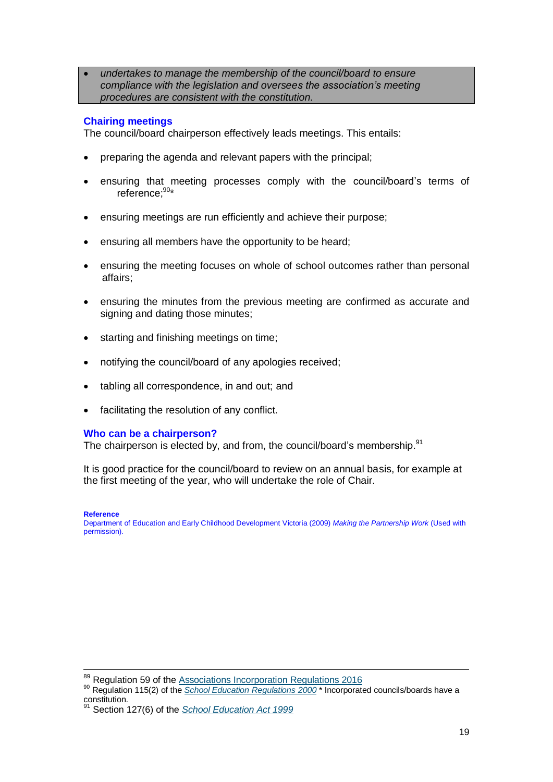*undertakes to manage the membership of the council/board to ensure compliance with the legislation and oversees the association's meeting procedures are consistent with the constitution.*

#### **Chairing meetings**

The council/board chairperson effectively leads meetings. This entails:

- preparing the agenda and relevant papers with the principal;
- ensuring that meeting processes comply with the council/board's terms of reference; 90\*
- ensuring meetings are run efficiently and achieve their purpose;
- ensuring all members have the opportunity to be heard;
- ensuring the meeting focuses on whole of school outcomes rather than personal affairs;
- ensuring the minutes from the previous meeting are confirmed as accurate and signing and dating those minutes;
- starting and finishing meetings on time;
- notifying the council/board of any apologies received;
- tabling all correspondence, in and out; and
- facilitating the resolution of any conflict.

#### **Who can be a chairperson?**

The chairperson is elected by, and from, the council/board's membership.<sup>91</sup>

It is good practice for the council/board to review on an annual basis, for example at the first meeting of the year, who will undertake the role of Chair.

**Reference**

-

Department of Education and Early Childhood Development Victoria (2009) *Making the Partnership Work* (Used with permission).

<sup>&</sup>lt;sup>89</sup> Regulation 59 of the **Associations Incorporation Regulations 2016** 

<sup>90</sup> Regulation 115(2) of the *[School Education Regulations 2000](https://www.slp.wa.gov.au/legislation/statutes.nsf/main_mrtitle_2033_homepage.html)* \* Incorporated councils/boards have a constitution.<br>91 C

<sup>&</sup>lt;sup>1</sup> Section 127(6) of the *[School Education Act 1999](https://www.slp.wa.gov.au/legislation/statutes.nsf/law_a1960.html)*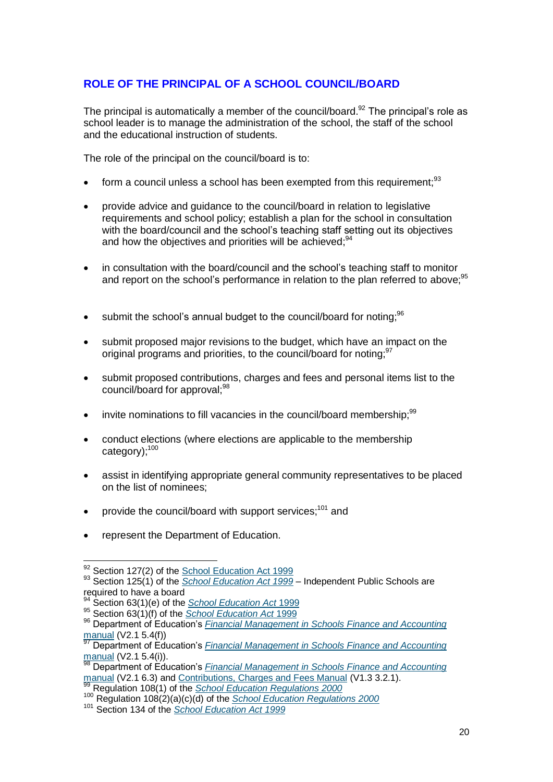# **ROLE OF THE PRINCIPAL OF A SCHOOL COUNCIL/BOARD**

The principal is automatically a member of the council/board.<sup>92</sup> The principal's role as school leader is to manage the administration of the school, the staff of the school and the educational instruction of students.

The role of the principal on the council/board is to:

- $\bullet$  form a council unless a school has been exempted from this requirement;  $93$
- provide advice and guidance to the council/board in relation to legislative requirements and school policy; establish a plan for the school in consultation with the board/council and the school's teaching staff setting out its objectives and how the objectives and priorities will be achieved;<sup>94</sup>
- in consultation with the board/council and the school's teaching staff to monitor and report on the school's performance in relation to the plan referred to above:<sup>95</sup>
- $\bullet$  submit the school's annual budget to the council/board for noting;  $96$
- submit proposed major revisions to the budget, which have an impact on the original programs and priorities, to the council/board for noting;<sup>97</sup>
- submit proposed contributions, charges and fees and personal items list to the council/board for approval;<sup>98</sup>
- invite nominations to fill vacancies in the council/board membership;<sup>99</sup>
- conduct elections (where elections are applicable to the membership category);<sup>100</sup>
- assist in identifying appropriate general community representatives to be placed on the list of nominees;
- provide the council/board with support services;<sup>101</sup> and
- represent the Department of Education.

<sup>-</sup><sup>92</sup> Section 127(2) of the **School Education Act 1999** 

<sup>93</sup> Section 125(1) of the *[School Education Act 1999](https://www.slp.wa.gov.au/legislation/statutes.nsf/law_a1960.html)* – Independent Public Schools are required to have a board

<sup>94</sup> Section 63(1)(e) of the *[School Education Act](https://www.slp.wa.gov.au/legislation/statutes.nsf/law_a1960.html)* 1999

<sup>95</sup> Section 63(1)(f) of the *[School Education Act](https://www.slp.wa.gov.au/legislation/statutes.nsf/law_a1960.html)* 1999

<sup>96</sup> Department of Education's *[Financial Management in Schools Finance and](http://det.wa.edu.au/finance/detcms/navigation/assigned-category-asset.jsp?assignedCategoryID=1142849) Accounting*  $\frac{$  [manual](http://det.wa.edu.au/finance/detcms/navigation/assigned-category-asset.jsp?assignedCategoryID=1142849)</u> (V2.1 5.4(f))

<sup>97</sup> Department of Education's *[Financial Management in Schools Finance and](http://det.wa.edu.au/finance/detcms/navigation/assigned-category-asset.jsp?assignedCategoryID=1142849) Accounting* [manual](http://det.wa.edu.au/finance/detcms/navigation/assigned-category-asset.jsp?assignedCategoryID=1142849) (V2.1 5.4(i)).

<sup>98</sup> Department of Education's *[Financial Management in Schools Finance and](http://det.wa.edu.au/finance/detcms/navigation/assigned-category-asset.jsp?assignedCategoryID=1142849) Accounting* [manual](http://det.wa.edu.au/finance/detcms/navigation/assigned-category-asset.jsp?assignedCategoryID=1142849) (V2.1 6.3) an[d Contributions, Charges and Fees Manual](http://det.wa.edu.au/finance/detcms/finance-and-administration/finance-for-schools/binary-files/a---d/contributions-charges-and-fees-manual.en?cat-id=15154420) (V1.3 3.2.1).

<sup>99</sup> Regulation 108(1) of the *[School Education Regulations 2000](https://www.slp.wa.gov.au/legislation/statutes.nsf/main_mrtitle_2033_homepage.html)*

<sup>100</sup> Regulation 108(2)(a)(c)(d) of the *[School Education Regulations 2000](https://www.slp.wa.gov.au/legislation/statutes.nsf/main_mrtitle_2033_homepage.html)*

<sup>101</sup> Section 134 of the *[School Education Act 1999](https://www.slp.wa.gov.au/legislation/statutes.nsf/law_a1960.html)*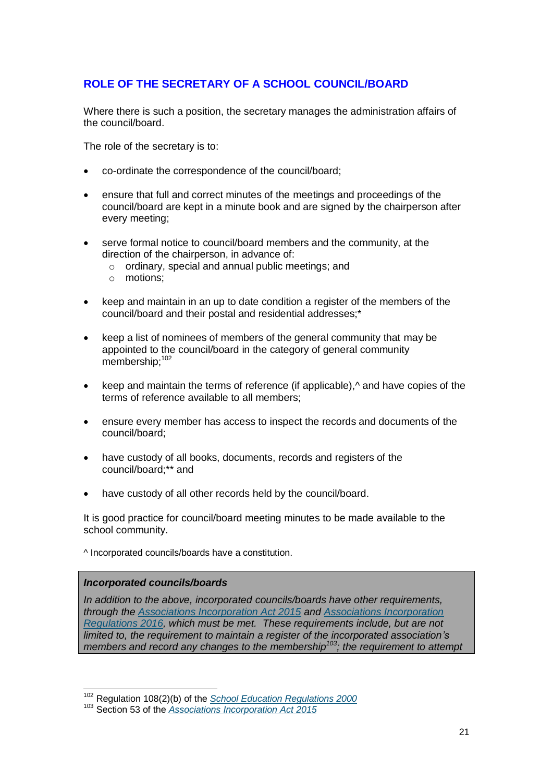# **ROLE OF THE SECRETARY OF A SCHOOL COUNCIL/BOARD**

Where there is such a position, the secretary manages the administration affairs of the council/board.

The role of the secretary is to:

- co-ordinate the correspondence of the council/board;
- ensure that full and correct minutes of the meetings and proceedings of the council/board are kept in a minute book and are signed by the chairperson after every meeting;
- serve formal notice to council/board members and the community, at the direction of the chairperson, in advance of:
	- o ordinary, special and annual public meetings; and
	- o motions;
- keep and maintain in an up to date condition a register of the members of the council/board and their postal and residential addresses;\*
- keep a list of nominees of members of the general community that may be appointed to the council/board in the category of general community membership;<sup>102</sup>
- keep and maintain the terms of reference (if applicable),<sup>^</sup> and have copies of the terms of reference available to all members;
- ensure every member has access to inspect the records and documents of the council/board;
- have custody of all books, documents, records and registers of the council/board;\*\* and
- have custody of all other records held by the council/board.

It is good practice for council/board meeting minutes to be made available to the school community.

^ Incorporated councils/boards have a constitution.

#### *Incorporated councils/boards*

 $\overline{a}$ 

*In addition to the above, incorporated councils/boards have other requirements, through the [Associations Incorporation Act 2015](https://www.slp.wa.gov.au/legislation/statutes.nsf/law_a147082.html) and [Associations Incorporation](https://www.slp.wa.gov.au/legislation/statutes.nsf/law_s48051.html)  [Regulations 2016,](https://www.slp.wa.gov.au/legislation/statutes.nsf/law_s48051.html) which must be met. These requirements include, but are not limited to, the requirement to maintain a register of the incorporated association's members and record any changes to the membership<sup>103</sup>; the requirement to attempt*

<sup>102</sup> Regulation 108(2)(b) of the *[School Education Regulations 2000](https://www.slp.wa.gov.au/legislation/statutes.nsf/main_mrtitle_2033_homepage.html)*

<sup>103</sup> Section 53 of the *[Associations Incorporation Act 2015](https://www.slp.wa.gov.au/pco/prod/filestore.nsf/FileURL/mrdoc_28811.pdf/$FILE/Associations%20Incorporation%20Act%202015%20-%20%5B00-b0-01%5D.pdf?OpenElement)*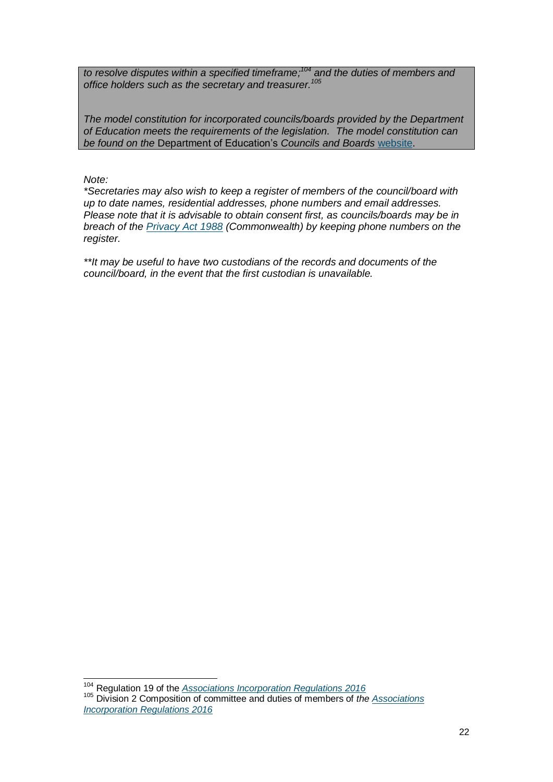*to resolve disputes within a specified timeframe; <sup>104</sup> and the duties of members and office holders such as the secretary and treasurer. 105*

*The model constitution for incorporated councils/boards provided by the Department of Education meets the requirements of the legislation. The model constitution can be found on the* Department of Education's *Councils and Boards* [website.](http://det.wa.edu.au/schoolcouncils/detcms/portal/)

*Note:*

*\*Secretaries may also wish to keep a register of members of the council/board with up to date names, residential addresses, phone numbers and email addresses. Please note that it is advisable to obtain consent first, as councils/boards may be in breach of the [Privacy Act 1988](https://www.legislation.gov.au/Details/C2014C00076) (Commonwealth) by keeping phone numbers on the register.* 

*\*\*It may be useful to have two custodians of the records and documents of the council/board, in the event that the first custodian is unavailable.*

-<sup>104</sup> Regulation 19 of the *[Associations Incorporation Regulations 2016](https://www.slp.wa.gov.au/legislation/statutes.nsf/law_s48051.html)* <sup>105</sup> Division 2 Composition of committee and duties of members of *the [Associations](https://www.slp.wa.gov.au/legislation/statutes.nsf/law_s48051.html)  [Incorporation Regulations 2016](https://www.slp.wa.gov.au/legislation/statutes.nsf/law_s48051.html)*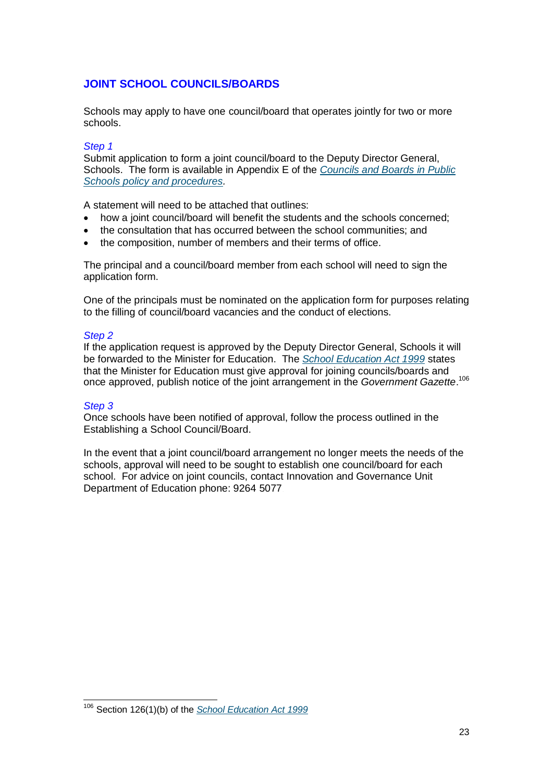# **JOINT SCHOOL COUNCILS/BOARDS**

Schools may apply to have one council/board that operates jointly for two or more schools.

#### *Step 1*

Submit application to form a joint council/board to the Deputy Director General, Schools. The form is available in Appendix E of the *[Councils and Boards](http://www.det.wa.edu.au/policies/detcms/policy-planning-and-accountability/policies-framework/policies/school-councils-policy.en?cat-id=3458015) in Public Schools policy [and procedures.](http://www.det.wa.edu.au/policies/detcms/policy-planning-and-accountability/policies-framework/policies/school-councils-policy.en?cat-id=3458015)*

A statement will need to be attached that outlines:

- how a joint council/board will benefit the students and the schools concerned;
- the consultation that has occurred between the school communities; and
- the composition, number of members and their terms of office.

The principal and a council/board member from each school will need to sign the application form.

One of the principals must be nominated on the application form for purposes relating to the filling of council/board vacancies and the conduct of elections.

#### *Step 2*

If the application request is approved by the Deputy Director General, Schools it will be forwarded to the Minister for Education. The *School [Education Act 1999](https://www.slp.wa.gov.au/legislation/statutes.nsf/law_a1960.html)* states that the Minister for Education must give approval for joining councils/boards and once approved, publish notice of the joint arrangement in the *Government Gazette*. 106

#### *Step 3*

 $\overline{1}$ 

Once schools have been notified of approval, follow the process outlined in the Establishing a School Council/Board.

In the event that a joint council/board arrangement no longer meets the needs of the schools, approval will need to be sought to establish one council/board for each school. For advice on joint councils, contact Innovation and Governance Unit Department of Education phone: 9264 5077 *.* 

<sup>106</sup> Section 126(1)(b) of the *[School Education Act 1999](https://www.slp.wa.gov.au/legislation/statutes.nsf/law_a1960.html)*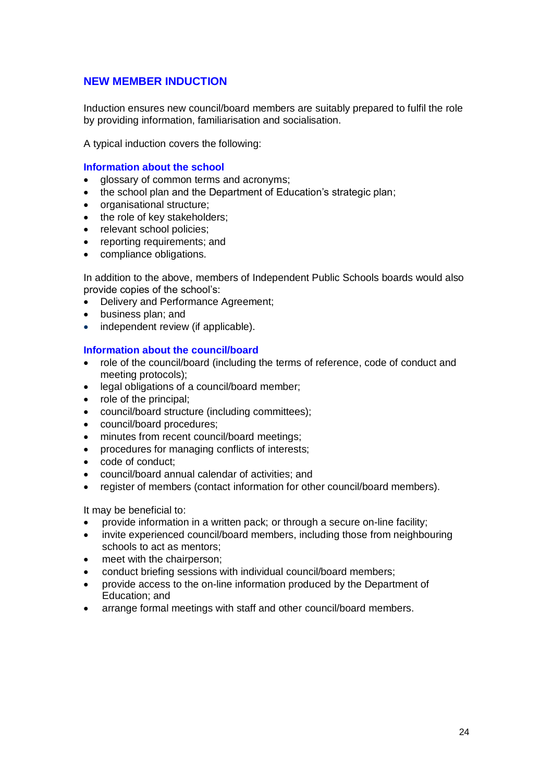## **NEW MEMBER INDUCTION**

Induction ensures new council/board members are suitably prepared to fulfil the role by providing information, familiarisation and socialisation.

A typical induction covers the following:

#### **Information about the school**

- alossary of common terms and acronyms:
- the school plan and the Department of Education's strategic plan;
- organisational structure;
- the role of key stakeholders;
- relevant school policies;
- reporting requirements; and
- compliance obligations.

In addition to the above, members of Independent Public Schools boards would also provide copies of the school's:

- Delivery and Performance Agreement;
- business plan; and
- independent review (if applicable).

#### **Information about the council/board**

- role of the council/board (including the terms of reference, code of conduct and meeting protocols);
- legal obligations of a council/board member;
- role of the principal;
- council/board structure (including committees);
- council/board procedures;
- minutes from recent council/board meetings:
- procedures for managing conflicts of interests;
- code of conduct:
- council/board annual calendar of activities; and
- register of members (contact information for other council/board members).

It may be beneficial to:

- provide information in a written pack; or through a secure on-line facility;
- invite experienced council/board members, including those from neighbouring schools to act as mentors;
- meet with the chairperson;
- conduct briefing sessions with individual council/board members;
- provide access to the on-line information produced by the Department of Education; and
- arrange formal meetings with staff and other council/board members.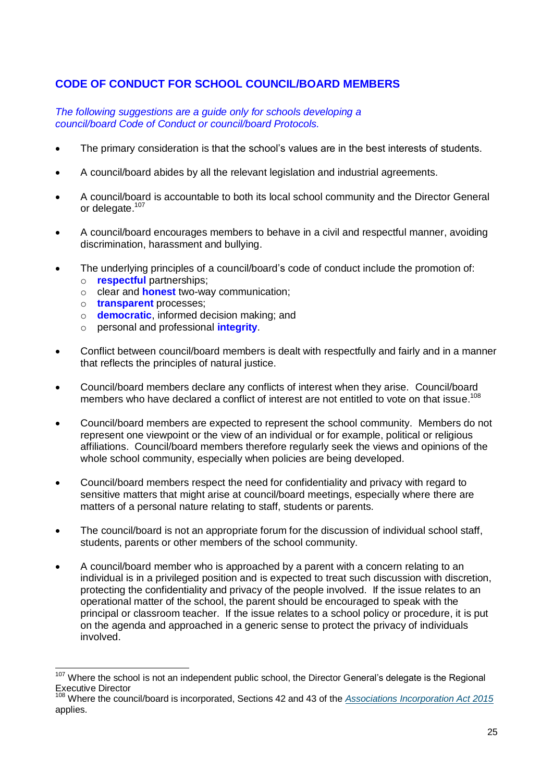# **CODE OF CONDUCT FOR SCHOOL COUNCIL/BOARD MEMBERS**

*The following suggestions are a guide only for schools developing a council/board Code of Conduct or council/board Protocols.* 

- The primary consideration is that the school's values are in the best interests of students.
- A council/board abides by all the relevant legislation and industrial agreements.
- A council/board is accountable to both its local school community and the Director General or delegate.<sup>107</sup>
- A council/board encourages members to behave in a civil and respectful manner, avoiding discrimination, harassment and bullying.
- The underlying principles of a council/board's code of conduct include the promotion of:
	- o **respectful** partnerships;
	- o clear and **honest** two-way communication;
	- o **transparent** processes;

 $\overline{1}$ 

- o **democratic**, informed decision making; and
- o personal and professional **integrity**.
- Conflict between council/board members is dealt with respectfully and fairly and in a manner that reflects the principles of natural justice.
- Council/board members declare any conflicts of interest when they arise. Council/board members who have declared a conflict of interest are not entitled to vote on that issue.<sup>108</sup>
- Council/board members are expected to represent the school community. Members do not represent one viewpoint or the view of an individual or for example, political or religious affiliations. Council/board members therefore regularly seek the views and opinions of the whole school community, especially when policies are being developed.
- Council/board members respect the need for confidentiality and privacy with regard to sensitive matters that might arise at council/board meetings, especially where there are matters of a personal nature relating to staff, students or parents.
- The council/board is not an appropriate forum for the discussion of individual school staff, students, parents or other members of the school community.
- A council/board member who is approached by a parent with a concern relating to an individual is in a privileged position and is expected to treat such discussion with discretion, protecting the confidentiality and privacy of the people involved. If the issue relates to an operational matter of the school, the parent should be encouraged to speak with the principal or classroom teacher. If the issue relates to a school policy or procedure, it is put on the agenda and approached in a generic sense to protect the privacy of individuals involved.

<sup>&</sup>lt;sup>107</sup> Where the school is not an independent public school, the Director General's delegate is the Regional Executive Director

<sup>108</sup> Where the council/board is incorporated, Sections 42 and 43 of the *[Associations Incorporation Act 2015](https://www.slp.wa.gov.au/legislation/statutes.nsf/law_a147082.html)* applies.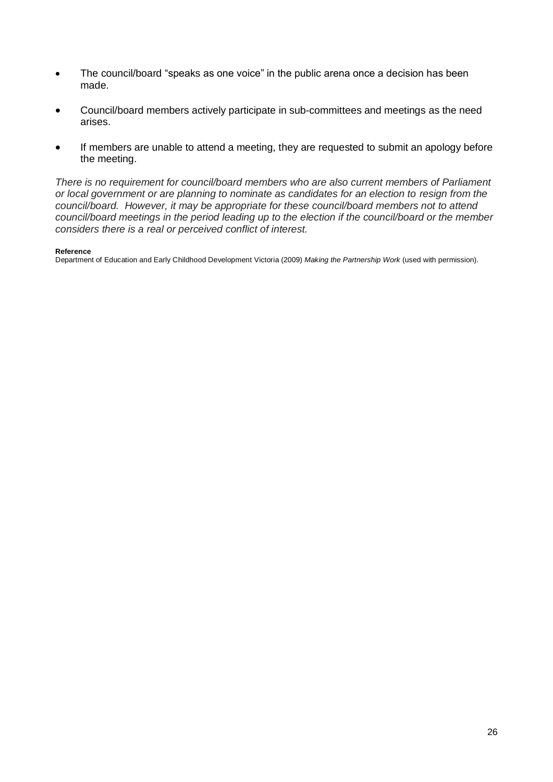- The council/board "speaks as one voice" in the public arena once a decision has been made.
- Council/board members actively participate in sub-committees and meetings as the need arises.
- If members are unable to attend a meeting, they are requested to submit an apology before the meeting.

*There is no requirement for council/board members who are also current members of Parliament or local government or are planning to nominate as candidates for an election to resign from the council/board. However, it may be appropriate for these council/board members not to attend council/board meetings in the period leading up to the election if the council/board or the member considers there is a real or perceived conflict of interest.*

#### **Reference**

Department of Education and Early Childhood Development Victoria (2009) *Making the Partnership Work* (used with permission).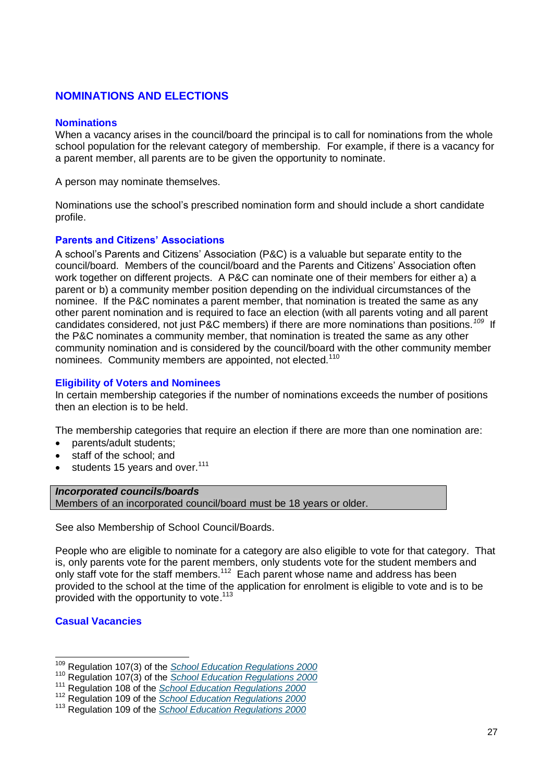# **NOMINATIONS AND ELECTIONS**

#### **Nominations**

When a vacancy arises in the council/board the principal is to call for nominations from the whole school population for the relevant category of membership. For example, if there is a vacancy for a parent member, all parents are to be given the opportunity to nominate.

A person may nominate themselves.

Nominations use the school's prescribed nomination form and should include a short candidate profile.

#### **Parents and Citizens' Associations**

A school's Parents and Citizens' Association (P&C) is a valuable but separate entity to the council/board. Members of the council/board and the Parents and Citizens' Association often work together on different projects. A P&C can nominate one of their members for either a) a parent or b) a community member position depending on the individual circumstances of the nominee. If the P&C nominates a parent member, that nomination is treated the same as any other parent nomination and is required to face an election (with all parents voting and all parent candidates considered, not just P&C members) if there are more nominations than positions.*<sup>109</sup>* If the P&C nominates a community member, that nomination is treated the same as any other community nomination and is considered by the council/board with the other community member nominees. Community members are appointed. not elected.<sup>110</sup>

#### **Eligibility of Voters and Nominees**

In certain membership categories if the number of nominations exceeds the number of positions then an election is to be held.

The membership categories that require an election if there are more than one nomination are:

- parents/adult students:
- staff of the school; and
- $\bullet$  students 15 years and over.<sup>111</sup>

#### *Incorporated councils/boards*

Members of an incorporated council/board must be 18 years or older.

See also Membership of School Council/Boards.

People who are eligible to nominate for a category are also eligible to vote for that category. That is, only parents vote for the parent members, only students vote for the student members and only staff vote for the staff members.<sup>112</sup> Each parent whose name and address has been provided to the school at the time of the application for enrolment is eligible to vote and is to be provided with the opportunity to vote.<sup>113</sup>

#### **Casual Vacancies**

 $\overline{a}$ 

<sup>109</sup> Regulation 107(3) of the *[School Education Regulations 2000](https://www.slp.wa.gov.au/legislation/statutes.nsf/main_mrtitle_2033_homepage.html)*

<sup>110</sup> Regulation 107(3) of the *[School Education Regulations 2000](https://www.slp.wa.gov.au/legislation/statutes.nsf/main_mrtitle_2033_homepage.html)*

<sup>111</sup> Regulation 108 of the *[School Education Regulations 2000](https://www.slp.wa.gov.au/legislation/statutes.nsf/main_mrtitle_2033_homepage.html)*

<sup>112</sup> Regulation 109 of the *[School Education Regulations 2000](https://www.slp.wa.gov.au/legislation/statutes.nsf/main_mrtitle_2033_homepage.html)*

<sup>113</sup> Regulation 109 of the *[School Education Regulations 2000](https://www.slp.wa.gov.au/legislation/statutes.nsf/main_mrtitle_2033_homepage.html)*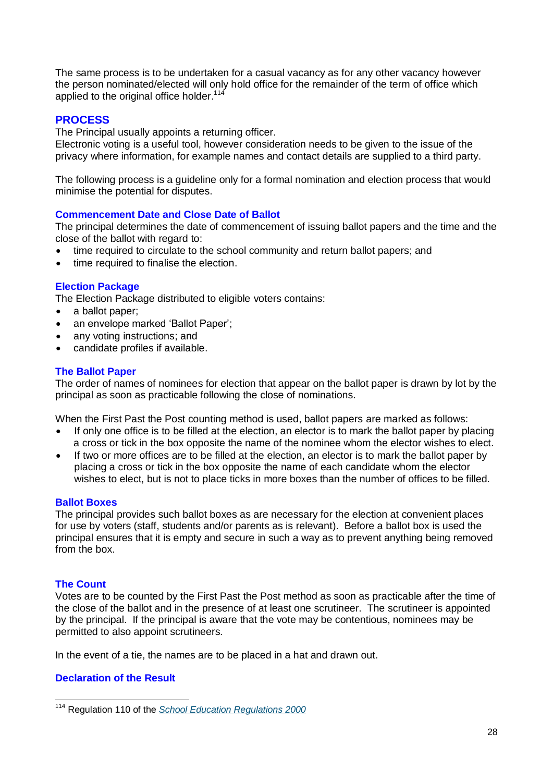The same process is to be undertaken for a casual vacancy as for any other vacancy however the person nominated/elected will only hold office for the remainder of the term of office which applied to the original office holder.<sup>114</sup>

#### **PROCESS**

The Principal usually appoints a returning officer.

Electronic voting is a useful tool, however consideration needs to be given to the issue of the privacy where information, for example names and contact details are supplied to a third party.

The following process is a guideline only for a formal nomination and election process that would minimise the potential for disputes.

#### **Commencement Date and Close Date of Ballot**

The principal determines the date of commencement of issuing ballot papers and the time and the close of the ballot with regard to:

- time required to circulate to the school community and return ballot papers; and
- time required to finalise the election.

#### **Election Package**

The Election Package distributed to eligible voters contains:

- a ballot paper;
- an envelope marked 'Ballot Paper';
- any voting instructions; and
- candidate profiles if available.

#### **The Ballot Paper**

The order of names of nominees for election that appear on the ballot paper is drawn by lot by the principal as soon as practicable following the close of nominations.

When the First Past the Post counting method is used, ballot papers are marked as follows:

- If only one office is to be filled at the election, an elector is to mark the ballot paper by placing a cross or tick in the box opposite the name of the nominee whom the elector wishes to elect.
- If two or more offices are to be filled at the election, an elector is to mark the ballot paper by placing a cross or tick in the box opposite the name of each candidate whom the elector wishes to elect, but is not to place ticks in more boxes than the number of offices to be filled.

#### **Ballot Boxes**

The principal provides such ballot boxes as are necessary for the election at convenient places for use by voters (staff, students and/or parents as is relevant). Before a ballot box is used the principal ensures that it is empty and secure in such a way as to prevent anything being removed from the box.

#### **The Count**

Votes are to be counted by the First Past the Post method as soon as practicable after the time of the close of the ballot and in the presence of at least one scrutineer. The scrutineer is appointed by the principal. If the principal is aware that the vote may be contentious, nominees may be permitted to also appoint scrutineers.

In the event of a tie, the names are to be placed in a hat and drawn out.

#### **Declaration of the Result**

 $\overline{a}$ <sup>114</sup> Regulation 110 of the *[School Education Regulations 2000](https://www.slp.wa.gov.au/legislation/statutes.nsf/main_mrtitle_2033_homepage.html)*